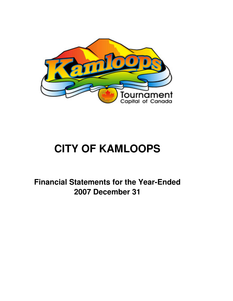

# **CITY OF KAMLOOPS**

**Financial Statements for the Year-Ended 2007 December 31**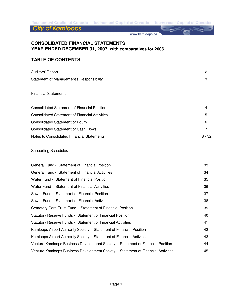**City of Kamloops** 

www.kamloops.ca

# **CONSOLIDATED FINANCIAL STATEMENTS YEAR ENDED DECEMBER 31, 2007, with comparatives for 2006**

### **TABLE OF CONTENTS** 1

| <b>Auditors' Report</b>                  | 2 |
|------------------------------------------|---|
| Statement of Management's Responsibility |   |

#### Financial Statements:

| Consolidated Statement of Financial Position          | 4        |
|-------------------------------------------------------|----------|
| <b>Consolidated Statement of Financial Activities</b> | 5        |
| <b>Consolidated Statement of Equity</b>               | 6        |
| <b>Consolidated Statement of Cash Flows</b>           |          |
| Notes to Consolidated Financial Statements            | $8 - 32$ |

#### Supporting Schedules:

| General Fund - Statement of Financial Position                                    | 33 |
|-----------------------------------------------------------------------------------|----|
| General Fund - Statement of Financial Activities                                  | 34 |
| Water Fund - Statement of Financial Position                                      | 35 |
| Water Fund - Statement of Financial Activities                                    | 36 |
| Sewer Fund - Statement of Financial Position                                      | 37 |
| Sewer Fund - Statement of Financial Activities                                    | 38 |
| Cemetery Care Trust Fund - Statement of Financial Position                        | 39 |
| Statutory Reserve Funds - Statement of Financial Position                         | 40 |
| Statutory Reserve Funds - Statement of Financial Activities                       | 41 |
| Kamloops Airport Authority Society - Statement of Financial Position              | 42 |
| Kamloops Airport Authority Society - Statement of Financial Activities            | 43 |
| Venture Kamloops Business Development Society - Statement of Financial Position   | 44 |
| Venture Kamloops Business Development Society - Statement of Financial Activities | 45 |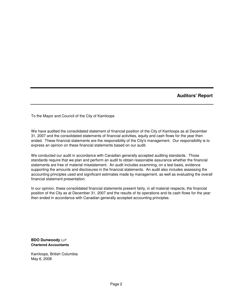**Auditors' Report**

To the Mayor and Council of the City of Kamloops

We have audited the consolidated statement of financial position of the City of Kamloops as at December 31, 2007 and the consolidated statements of financial activities, equity and cash flows for the year then ended. These financial statements are the responsibility of the City's management. Our responsibility is to express an opinion on these financial statements based on our audit.

We conducted our audit in accordance with Canadian generally accepted auditing standards. Those standards require that we plan and perform an audit to obtain reasonable assurance whether the financial statements are free of material misstatement. An audit includes examining, on a test basis, evidence supporting the amounts and disclosures in the financial statements. An audit also includes assessing the accounting principles used and significant estimates made by management, as well as evaluating the overall financial statement presentation.

In our opinion, these consolidated financial statements present fairly, in all material respects, the financial position of the City as at December 31, 2007 and the results of its operations and its cash flows for the year then ended in accordance with Canadian generally accepted accounting principles.

**BDO Dunwoody** LLP **Chartered Accountants**

Kamloops, British Columbia May 6, 2008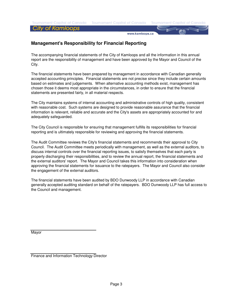**Tournament Capital of Canada** 

www.kamloops.ca

# **Management's Responsibility for Financial Reporting**

The accompanying financial statements of the City of Kamloops and all the information in this annual report are the responsibility of management and have been approved by the Mayor and Council of the City.

The financial statements have been prepared by management in accordance with Canadian generally accepted accounting principles. Financial statements are not precise since they include certain amounts based on estimates and judgements. When alternative accounting methods exist, management has chosen those it deems most appropriate in the circumstances, in order to ensure that the financial statements are presented fairly, in all material respects.

The City maintains systems of internal accounting and administrative controls of high quality, consistent with reasonable cost. Such systems are designed to provide reasonable assurance that the financial information is relevant, reliable and accurate and the City's assets are appropriately accounted for and adequately safeguarded.

The City Council is responsible for ensuring that management fulfills its responsibilities for financial reporting and is ultimately responsible for reviewing and approving the financial statements.

The Audit Committee reviews the City's financial statements and recommends their approval to City Council. The Audit Committee meets periodically with management, as well as the external auditors, to discuss internal controls over the financial reporting issues, to satisfy themselves that each party is properly discharging their responsibilities, and to review the annual report, the financial statements and the external auditors' report. The Mayor and Council takes this information into consideration when approving the financial statements for issuance to the ratepayers. The Mayor and Council also consider the engagement of the external auditors.

The financial statements have been audited by BDO Dunwoody LLP in accordance with Canadian generally accepted auditing standard on behalf of the ratepayers. BDO Dunwoody LLP has full access to the Council and management.

Mayor

Finance and Information Technology Director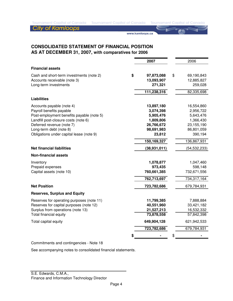www.kamloops.ca

# **CONSOLIDATED STATEMENT OF FINANCIAL POSITION AS AT DECEMBER 31, 2007, with comparatives for 2006**

|                                                                                                   | 2007 |                                                    | 2006                                                    |
|---------------------------------------------------------------------------------------------------|------|----------------------------------------------------|---------------------------------------------------------|
| <b>Financial assets</b>                                                                           |      |                                                    |                                                         |
| Cash and short-term investments (note 2)<br>Accounts receivable (note 3)<br>Long-term investments | \$   | 97,873,088<br>13,093,907<br>271,321<br>111,238,316 | \$<br>69,190,843<br>12,885,827<br>259,028<br>82,335,698 |
| <b>Liabilities</b>                                                                                |      |                                                    |                                                         |
|                                                                                                   |      |                                                    |                                                         |
| Accounts payable (note 4)                                                                         |      | 13,897,180                                         | 16,554,860                                              |
| Payroll benefits payable                                                                          |      | 3,074,398                                          | 2,956,722                                               |
| Post-employment benefits payable (note 5)                                                         |      | 5,905,476                                          | 5,643,476                                               |
| Landfill post-closure costs (note 6)                                                              |      | 1,809,806                                          | 1,366,430                                               |
| Deferred revenue (note 7)                                                                         |      | 26,766,672                                         | 23,155,190                                              |
| Long-term debt (note 8)                                                                           |      | 98,691,983                                         | 86,801,059                                              |
| Obligations under capital lease (note 9)                                                          |      | 23,812                                             | 390,194                                                 |
|                                                                                                   |      | 150,169,327                                        | 136,867,931                                             |
| <b>Net financial liabilities</b>                                                                  |      | (38, 931, 011)                                     | (54, 532, 233)                                          |
| <b>Non-financial assets</b>                                                                       |      |                                                    |                                                         |
| Inventory                                                                                         |      | 1,078,877                                          | 1,047,460                                               |
| Prepaid expenses                                                                                  |      | 973,435                                            | 598,148                                                 |
| Capital assets (note 10)                                                                          |      | 760,661,385                                        | 732,671,556                                             |
|                                                                                                   |      | 762,713,697                                        | 734,317,164                                             |
| <b>Net Position</b>                                                                               |      | 723,782,686                                        | 679,784,931                                             |
| <b>Reserves, Surplus and Equity</b>                                                               |      |                                                    |                                                         |
| Reserves for operating purposes (note 11)                                                         |      | 11,799,385                                         | 7,888,884                                               |
| Reserves for capital purposes (note 12)                                                           |      | 40,551,960                                         | 33,421,182                                              |
| Surplus from operations (note 13)                                                                 |      | 21,527,213                                         | 16,532,332                                              |
| Total financial equity                                                                            |      | 73,878,558                                         | 57,842,398                                              |
| Total capital equity                                                                              |      | 649,904,128                                        | 621,942,533                                             |
|                                                                                                   |      | 723,782,686                                        | 679,784,931                                             |
|                                                                                                   |      |                                                    | \$                                                      |

Commitments and contingencies - Note 18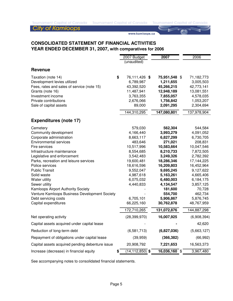www.kamloops.ca

# **CONSOLIDATED STATEMENT OF FINANCIAL ACTIVITIES YEAR ENDED DECEMBER 31, 2007, with comparatives for 2006**

|                                                 | 2007 Budget            | 2007                   | 2006                   |
|-------------------------------------------------|------------------------|------------------------|------------------------|
|                                                 | (unaudited)            |                        |                        |
| <b>Revenue</b>                                  |                        |                        |                        |
| \$<br>Taxation (note 14)                        | 76,111,426 \$          | 75,951,548 \$          | 71,182,773             |
| Development levies utilized                     | 6,789,987              | 1,211,655              | 3,005,503              |
| Fees, rates and sales of service (note 15)      | 43,392,520             | 45,266,215             | 42,773,141             |
| Grants (note 16)                                | 11,487,941             | 12,948,189             | 13,081,551             |
| Investment income                               | 3,763,355              | 7,855,057              | 4,578,035              |
| Private contributions                           | 2,676,066              | 1,756,842              | 1,053,207              |
| Sale of capital assets                          | 89,000                 | 2,091,295              | 2,304,694              |
|                                                 | 144,310,295            | 147,080,801            | 137,978,904            |
| <b>Expenditures (note 17)</b>                   |                        |                        |                        |
| Cemetery                                        | 579,030                | 562,304                | 544,584                |
| Community development                           | 4,166,440              | 3,993,279              | 4,091,052              |
| Corporate administration                        | 8,663,117              | 6,827,299              | 6,730,705              |
| <b>Environmental services</b>                   | 483,646                | 271,021                | 208,831                |
| Fire services                                   | 10,517,996             | 10,583,664             | 10,047,546             |
| Infrastructure maintenance                      | 8,554,685              | 8,210,733              | 7,872,505              |
| Legislative and enforcement                     | 3,542,483              | 3,249,326              | 2,782,392              |
| Parks, recreation and leisure services          | 19,600,481             | 18,286,346             | 17,144,225             |
| Police services                                 | 18,616,596             | 16,209,803             | 16,452,964             |
| <b>Public Transit</b><br>Solid waste            | 9,552,047<br>4,987,618 | 9,695,245<br>5,163,261 | 9,127,622<br>4,665,406 |
| Water utility                                   | 6,075,032              | 6,480,003              | 6,184,175              |
| Sewer utility                                   | 4,440,833              | 4,134,547              | 3,857,125              |
| Kamloops Airport Authority Society              |                        | 181,600                | 70,728                 |
| Venture Kamloops Business Development Society   |                        | 554,700                | 462,734                |
| Debt servicing costs                            | 6,705,101              | 5,906,867              | 5,876,745              |
| Capital expenditures                            | 66,225,160             | 30,762,878             | 48,767,959             |
|                                                 | 172,710,265            | 131,072,876            | 144,887,298            |
| Net operating activity                          | (28, 399, 970)         | 16,007,925             | (6,908,394)            |
| Capital assets acquired under capital lease     |                        |                        | 42,620                 |
| Reduction of long-term debt                     | (6,581,713)            | (6,827,036)            | (5,663,127)            |
| Repayment of obligations under capital lease    | (39, 959)              | (366, 382)             | (66, 992)              |
| Capital assets acquired pending debenture issue | 20,908,792             | 7,221,653              | 16,563,373             |
| Increase (decrease) in financial equity<br>\$   | $(14, 112, 850)$ \$    | 16,036,160 \$          | 3,967,480              |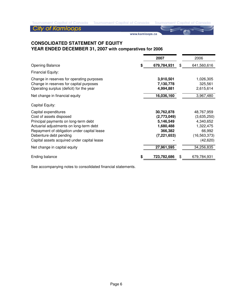www.kamloops.ca

# **CONSOLIDATED STATEMENT OF EQUITY YEAR ENDED DECEMBER 31, 2007 with comparatives for 2006**

|                                                                                                                                                                                                                                                                                            |   | 2007                                                                                          | 2006                                                                                                       |
|--------------------------------------------------------------------------------------------------------------------------------------------------------------------------------------------------------------------------------------------------------------------------------------------|---|-----------------------------------------------------------------------------------------------|------------------------------------------------------------------------------------------------------------|
| <b>Opening Balance</b>                                                                                                                                                                                                                                                                     | S | 679,784,931                                                                                   | \$<br>641,560,616                                                                                          |
| Financial Equity:                                                                                                                                                                                                                                                                          |   |                                                                                               |                                                                                                            |
| Change in reserves for operating purposes<br>Change in reserves for capital purposes<br>Operating surplus (deficit) for the year                                                                                                                                                           |   | 3,910,501<br>7,130,778<br>4,994,881                                                           | 1,026,305<br>325,561<br>2,615,614                                                                          |
| Net change in financial equity                                                                                                                                                                                                                                                             |   | 16,036,160                                                                                    | 3,967,480                                                                                                  |
| Capital Equity:                                                                                                                                                                                                                                                                            |   |                                                                                               |                                                                                                            |
| Capital expenditures<br>Cost of assets disposed<br>Principal payments on long-term debt<br>Actuarial adjustments on long-term debt<br>Repayment of obligation under capital lease<br>Debenture debt pending<br>Capital assets acquired under capital lease<br>Net change in capital equity |   | 30,762,878<br>(2,773,049)<br>5,146,549<br>1,680,488<br>366,382<br>(7, 221, 653)<br>27,961,595 | 48,767,959<br>(3,635,250)<br>4,340,652<br>1,322,475<br>66,992<br>(16, 563, 373)<br>(42, 620)<br>34,256,835 |
|                                                                                                                                                                                                                                                                                            |   |                                                                                               |                                                                                                            |
| Ending balance                                                                                                                                                                                                                                                                             | S | 723,782,686                                                                                   | \$<br>679,784,931                                                                                          |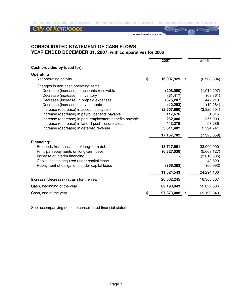**City of Kamloops** 

www.kamloops.ca

# **CONSOLIDATED STATEMENT OF CASH FLOWS YEAR ENDED DECEMBER 31, 2007, with comparatives for 2006**

|                                                                                                                                                                                                                                                                                                                                                                                                                                                                   |    | 2007                                                                                                                           | 2006                                                                                                                       |
|-------------------------------------------------------------------------------------------------------------------------------------------------------------------------------------------------------------------------------------------------------------------------------------------------------------------------------------------------------------------------------------------------------------------------------------------------------------------|----|--------------------------------------------------------------------------------------------------------------------------------|----------------------------------------------------------------------------------------------------------------------------|
| Cash provided by (used for):                                                                                                                                                                                                                                                                                                                                                                                                                                      |    |                                                                                                                                |                                                                                                                            |
| Operating<br>Net operating activity                                                                                                                                                                                                                                                                                                                                                                                                                               | \$ | 16,007,925                                                                                                                     | \$<br>(6,908,394)                                                                                                          |
| Changes in non-cash operating items:<br>Decrease (increase) in accounts receivable<br>Decrease (increase) in inventory<br>Decrease (increase) in prepaid expenses<br>Decrease (increase) in investments<br>Increase (decrease) in accounts payable<br>Increase (decrease) in payroll benefits payable<br>Increase (decrease) in post-employment benefits payable<br>Increase (decrease) in landfill post-closure costs<br>Increase (decrease) in deferred revenue |    | (208,080)<br>(31, 417)<br>(375, 287)<br>(12, 293)<br>(2,657,680)<br>117,676<br>262,000<br>443,376<br>3,611,482<br>17, 157, 702 | (1,014,297)<br>(68, 361)<br>447,219<br>(10, 264)<br>(3,326,604)<br>51,815<br>255,000<br>53,286<br>2,594,741<br>(7,925,859) |
| Financing:<br>Proceeds from issuance of long-term debt<br>Principal repayments on long-term debt<br>Increase of interim financing<br>Capital assets acquired under capital lease<br>Repayment of obligations under capital lease                                                                                                                                                                                                                                  |    | 18,717,961<br>(6,827,036)<br>(366, 382)<br>11,524,543                                                                          | 33,000,000<br>(5,663,127)<br>(3,018,335)<br>42,620<br>(66, 992)<br>24,294,166                                              |
| Increase (decrease) in cash for the year                                                                                                                                                                                                                                                                                                                                                                                                                          |    | 28,682,245                                                                                                                     | 16,368,307                                                                                                                 |
| Cash, beginning of the year                                                                                                                                                                                                                                                                                                                                                                                                                                       |    | 69,190,843                                                                                                                     | 52,822,536                                                                                                                 |
| Cash, end of the year                                                                                                                                                                                                                                                                                                                                                                                                                                             | S  | 97,873,088                                                                                                                     | \$<br>69,190,843                                                                                                           |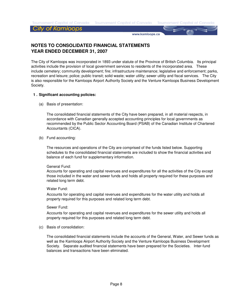**Tournament Capital of Canada** 

#### **City of Kamloops**

www.kamloops.ca

# **NOTES TO CONSOLIDATED FINANCIAL STATEMENTS YEAR ENDED DECEMBER 31, 2007**

The City of Kamloops was incorporated in 1893 under statute of the Province of British Columbia. Its principal activities include the provision of local government services to residents of the incorporated area. These include cemetery; community development; fire; infrastructure maintenance; legislative and enforcement; parks, recreation and leisure; police; public transit; solid waste; water utility; sewer utility and fiscal services. The City is also responsible for the Kamloops Airport Authority Society and the Venture Kamloops Business Development Society.

#### **1 . Significant accounting policies:**

(a) Basis of presentation:

The consolidated financial statements of the City have been prepared, in all material respects, in accordance with Canadian generally accepted accounting principles for local governments as recommended by the Public Sector Accounting Board (PSAB) of the Canadian Institute of Chartered Accountants (CICA).

(b) Fund accounting:

The resources and operations of the City are comprised of the funds listed below. Supporting schedules to the consolidated financial statements are included to show the financial activities and balance of each fund for supplementary information.

#### General Fund:

Accounts for operating and capital revenues and expenditures for all the activities of the City except those included in the water and sewer funds and holds all property required for these purposes and related long term debt.

#### Water Fund:

Accounts for operating and capital revenues and expenditures for the water utility and holds all property required for this purposes and related long term debt.

#### Sewer Fund:

Accounts for operating and capital revenues and expenditures for the sewer utility and holds all property required for this purposes and related long term debt.

(c) Basis of consolidation:

The consolidated financial statements include the accounts of the General, Water, and Sewer funds as well as the Kamloops Airport Authority Society and the Venture Kamloops Business Development Society. Separate audited financial statements have been prepared for the Societies. Inter-fund balances and transactions have been eliminated.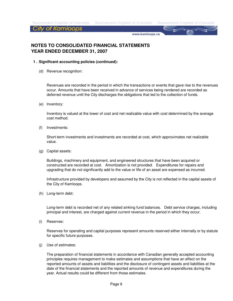**Tournament Capital of Canada** 

**City of Kamloops** 

www.kamloops.ca

# **NOTES TO CONSOLIDATED FINANCIAL STATEMENTS YEAR ENDED DECEMBER 31, 2007**

- **1 . Significant accounting policies (continued):**
	- (d) Revenue recognition:

Revenues are recorded in the period in which the transactions or events that gave rise to the revenues occur. Amounts that have been received in advance of services being rendered are recorded as deferred revenue until the City discharges the obligations that led to the collection of funds.

(e) Inventory:

Inventory is valued at the lower of cost and net realizable value with cost determined by the average cost method.

(f) Investments:

Short-term investments and investments are recorded at cost, which approximates net realizable value.

(g) Capital assets:

Buildings, machinery and equipment, and engineered structures that have been acquired or constructed are recorded at cost. Amortization is not provided. Expenditures for repairs and upgrading that do not significantly add to the value or life of an asset are expensed as incurred.

Infrastructure provided by developers and assumed by the City is not reflected in the capital assets of the City of Kamloops.

(h) Long-term debt:

Long-term debt is recorded net of any related sinking fund balances. Debt service charges, including principal and interest, are charged against current revenue in the period in which they occur.

(i) Reserves:

Reserves for operating and capital purposes represent amounts reserved either internally or by statute for specific future purposes.

(j) Use of estimates:

The preparation of financial statements in accordance with Canadian generally accepted accounting principles requires management to make estimates and assumptions that have an effect on the reported amounts of assets and liabilities and the disclosure of contingent assets and liabilities at the date of the financial statements and the reported amounts of revenue and expenditures during the year. Actual results could be different from those estimates.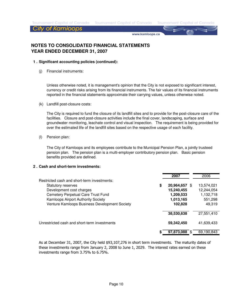**Tournament Capital of Canada** 

**City of Kamloops** 

www.kamloops.ca

# **NOTES TO CONSOLIDATED FINANCIAL STATEMENTS YEAR ENDED DECEMBER 31, 2007**

#### **1 . Significant accounting policies (continued):**

(j) Financial instruments:

> Unless otherwise noted, it is management's opinion that the City is not exposed to significant interest, currency or credit risks arising from its financial instruments. The fair values of its financial instruments reported in the financial statements approximate their carrying values, unless otherwise noted.

(k) Landfill post-closure costs:

The City is required to fund the closure of its landfill sites and to provide for the post-closure care of the facilities. Closure and post-closure activities include the final cover, landscaping, surface and groundwater monitoring, leachate control and visual inspection. The requirement is being provided for over the estimated life of the landfill sites based on the respective usage of each facility.

(l) Pension plan:

The City of Kamloops and its employees contribute to the Municipal Pension Plan, a jointly trusteed pension plan. The pension plan is a multi-employer contributory pension plan. Basic pension benefits provided are defined.

#### **2 . Cash and short-term investments:**

|                                               | 2007          | 2006       |
|-----------------------------------------------|---------------|------------|
| Restricted cash and short-term investments:   |               |            |
| \$<br><b>Statutory reserves</b>               | 20,964,657 \$ | 13,574,021 |
| Development cost charges                      | 15,240,455    | 12,244,054 |
| Cemetery Perpetual Care Trust Fund            | 1,209,533     | 1,132,718  |
| Kamloops Airport Authority Society            | 1,013,165     | 551,298    |
| Venture Kamloops Business Development Society | 102,828       | 49,319     |
|                                               | 38,530,638    | 27,551,410 |
| Unrestricted cash and short-term investments  | 59,342,450    | 41,639,433 |
| S                                             | 97.873.088    | 69.190.843 |

As at December 31, 2007, the City held \$93,107,276 in short term investments. The maturity dates of these investments range from January 2, 2008 to June 1, 2029. The interest rates earned on these investments range from 3.75% to 6.75%.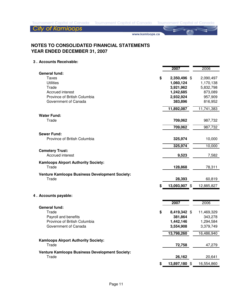**City of Kamloops** 

www.kamloops.ca

# **NOTES TO CONSOLIDATED FINANCIAL STATEMENTS YEAR ENDED DECEMBER 31, 2007**

#### **3 . Accounts Receivable:**

|                                                                                                                                        |    | 2007                                                                        | 2006                                                                 |
|----------------------------------------------------------------------------------------------------------------------------------------|----|-----------------------------------------------------------------------------|----------------------------------------------------------------------|
| <b>General fund:</b><br>Taxes<br><b>Utilities</b><br>Trade<br>Accrued interest<br>Province of British Columbia<br>Government of Canada | \$ | 2,350,496 \$<br>1,060,124<br>3,921,962<br>1,242,685<br>2,932,924<br>383,896 | 2,090,497<br>1,170,138<br>5,832,798<br>873,089<br>957,909<br>816,952 |
|                                                                                                                                        |    | 11,892,087                                                                  | 11,741,383                                                           |
| <b>Water Fund:</b><br>Trade                                                                                                            |    | 709,062                                                                     | 987,732                                                              |
|                                                                                                                                        |    | 709,062                                                                     | 987,732                                                              |
| <b>Sewer Fund:</b><br>Province of British Columbia                                                                                     |    | 325,974                                                                     | 10,000                                                               |
|                                                                                                                                        |    | 325,974                                                                     | 10,000                                                               |
| <b>Cemetery Trust:</b><br>Accrued interest                                                                                             |    | 9,523                                                                       | 7,582                                                                |
| <b>Kamloops Airport Authority Society:</b><br>Trade                                                                                    |    | 128,868                                                                     | 78,311                                                               |
| <b>Venture Kamloops Business Development Society:</b><br>Trade                                                                         |    | 28,393                                                                      | 60,819                                                               |
|                                                                                                                                        | S  | 13,093,907 \$                                                               | 12,885,827                                                           |
| 4. Accounts payable:                                                                                                                   |    |                                                                             |                                                                      |
|                                                                                                                                        |    | 2007                                                                        | 2006                                                                 |
| <b>General fund:</b><br>Trade<br>Payroll and benefits<br>Province of British Columbia<br>Government of Canada                          | \$ | 8,419,342 \$<br>381,864<br>1,442,146<br>3,554,908<br>13,798,260             | 11,469,329<br>343,278<br>1,294,584<br>3,379,749<br>16,486,940        |
| <b>Kamloops Airport Authority Society:</b>                                                                                             |    |                                                                             |                                                                      |
| Trade                                                                                                                                  |    | 72,758                                                                      | 47,279                                                               |
| <b>Venture Kamloops Business Development Society:</b><br>Trade                                                                         |    | 26,162                                                                      | 20,641                                                               |
|                                                                                                                                        | S  | 13,897,180 \$                                                               | 16,554,860                                                           |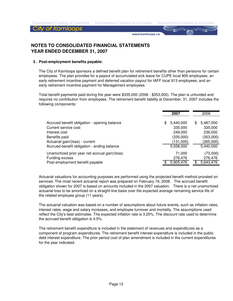**Tournament Capital of Canada** 

### **City of Kamloops**

www.kamloops.ca

# **NOTES TO CONSOLIDATED FINANCIAL STATEMENTS YEAR ENDED DECEMBER 31, 2007**

#### **5 . Post-employment benefits payable:**

The City of Kamloops sponsors a defined benefit plan for retirement benefits other than pensions for certain employees. The plan provides for a payout of accumulated sick leave for CUPE local 900 employees; an early retirement incentive payment and deferred vacation payout for IAFF local 913 employees; and an early retirement incentive payment for Management employees.

Total benefit payments paid during the year were \$335,000 (2006 - \$353,000). The plan is unfunded and requires no contribution from employees. The retirement benefit liability at December, 31, 2007 includes the following components:

|                                                                                                                                           |     | 2007                                                      |   | 2006                                                      |
|-------------------------------------------------------------------------------------------------------------------------------------------|-----|-----------------------------------------------------------|---|-----------------------------------------------------------|
| Accrued benefit obligation - opening balance<br>Current service cost<br>Interest cost<br>Benefits paid<br>Actuarial gain/(loss) - current | \$. | 5,440,000<br>335,000<br>249,000<br>(335,000)<br>(131,000) | S | 5,487,000<br>335,000<br>236,000<br>(353,000)<br>(265,000) |
| Accrued benefit obligation - ending balance                                                                                               |     | 5,558,000                                                 |   | 5,440,000                                                 |
| Unamortized prior year net accrual gain/(loss)<br>Funding excess<br>Post-employment benefit payable                                       |     | 71.000<br>276,476<br>5,905,476                            |   | (73,000)<br>276,476<br>5,643,476                          |

Actuarial valuations for accounting purposes are performed using the projected benefit method prorated on services. The most recent actuarial report was prepared on February 19, 2008. The accrued benefit obligation shown for 2007 is based on amounts included in the 2007 valuation. There is a net unamortized actuarial loss to be amortized on a straight-line basis over the expected average remaining service life of the related employee group (11 years).

The actuarial valuation was based on a number of assumptions about future events, such as inflation rates, interest rates, wage and salary increases, and employee turnover and mortality. The assumptions used reflect the City's best estimates. The expected inflation rate is 3.25%. The discount rate used to determine the accrued benefit obligation is 4.5%.

The retirement benefit expenditure is included in the statement of revenues and expenditures as a component of program expenditures. The retirement benefit interest expenditure is included in the public debt interest expenditure. The prior period cost of plan amendment is included in the current expenditures for the year indicated.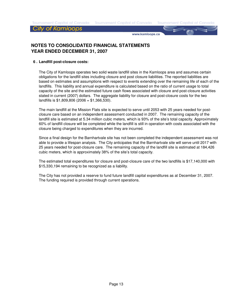**Tournament Capital of Canada** 

#### City of Kamloops

www.kamloops.ca

# **NOTES TO CONSOLIDATED FINANCIAL STATEMENTS YEAR ENDED DECEMBER 31, 2007**

#### **6 . Landfill post-closure costs:**

The City of Kamloops operates two solid waste landfill sites in the Kamloops area and assumes certain obligations for the landfill sites including closure and post closure liabilities. The reported liabilities are based on estimates and assumptions with respect to events extending over the remaining life of each of the landfills. This liability and annual expenditure is calculated based on the ratio of current usage to total capacity of the site and the estimated future cash flows associated with closure and post-closure activities stated in current (2007) dollars. The aggregate liability for closure and post-closure costs for the two landfills is  $$1,809,806$  (2006 = \$1,366,530).

The main landfill at the Mission Flats site is expected to serve until 2053 with 25 years needed for postclosure care based on an independent assessment conducted in 2007. The remaining capacity of the landfill site is estimated at 5.34 million cubic meters, which is 93% of the site's total capacity. Approximately 60% of landfill closure will be completed while the landfill is still in operation with costs associated with the closure being charged to expenditures when they are incurred.

Since a final design for the Barnhartvale site has not been completed the independent assessment was not able to provide a lifespan analysis. The City anticipates that the Barnhartvale site will serve until 2017 with 25 years needed for post-closure care. The remaining capacity of the landfill site is estimated at 184,426 cubic meters, which is approximately 38% of the site's total capacity.

The estimated total expenditures for closure and post-closure care of the two landfills is \$17,140,000 with \$15,330,194 remaining to be recognized as a liability.

The City has not provided a reserve to fund future landfill capital expenditures as at December 31, 2007. The funding required is provided through current operations.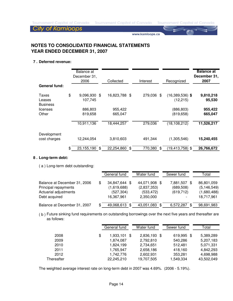www.kamloops.ca

# **NOTES TO CONSOLIDATED FINANCIAL STATEMENTS YEAR ENDED DECEMBER 31, 2007**

#### **7 . Deferred revenue:**

| <b>General fund:</b>               | Balance at<br>December 31,<br>2006 | Collected           | Interest      | Recognized                           | <b>Balance at</b><br>December 31,<br>2007 |
|------------------------------------|------------------------------------|---------------------|---------------|--------------------------------------|-------------------------------------------|
| Taxes<br>Leases<br><b>Business</b> | \$<br>9,096,930<br>107,745         | \$<br>16,823,788 \$ | 279,036       | \$<br>$(16,389,536)$ \$<br>(12, 215) | 9,810,218<br>95,530                       |
| licenses<br>Other                  | 886,803<br>819,658                 | 955,422<br>665,047  |               | (886, 803)<br>(819, 658)             | 955,422<br>665,047                        |
|                                    | 10,911,136                         | 18,444,257          | 279,036       | (18, 108, 212)                       | 11,526,217                                |
| Development<br>cost charges        | 12,244,054                         | 3,810,603           | 491,344       | (1,305,546)                          | 15,240,455                                |
|                                    | \$<br>23,155,190                   | \$<br>22,254,860    | \$<br>770,380 | \$<br>(19,413,758) \$                | 26,766,672                                |

#### **8 . Long-term debt:**

( a ) Long-term debt outstanding:

|                                                      | General fund                 | Water fund                   | Sewer fund                 | Total                       |
|------------------------------------------------------|------------------------------|------------------------------|----------------------------|-----------------------------|
| Balance at December 31, 2006<br>Principal repayments | 34,847,644 \$<br>(1,619,688) | 44,071,908 \$<br>(2,837,353) | 7,881,507 \$<br>(689, 508) | 86,801,059<br>(5, 146, 549) |
| Actuarial adjustments<br>Debt acquired               | (527, 304)<br>16,367,961     | (533, 472)<br>2,350,000      | (619, 712)                 | (1,680,488)<br>18,717,961   |
| Balance at December 31, 2007                         | 49,068,613 \$                | 43,051,083 \$                | 6,572,287                  | 98,691,983                  |

( b ) Future sinking fund requirements on outstanding borrowings over the next five years and thereafter are as follows:

|            | General fund       | Water fund   | Sewer fund |     | Total      |
|------------|--------------------|--------------|------------|-----|------------|
| 2008       | \$<br>1,933,101 \$ | 2,836,193 \$ | 619,995    | -\$ | 5,389,289  |
| 2009       | 1,874,087          | 2,792,810    | 540,286    |     | 5,207,183  |
| 2010       | 1,824,199          | 2,734,651    | 512.481    |     | 5,071,331  |
| 2011       | 1,765,947          | 2,658,186    | 418,160    |     | 4.842.293  |
| 2012       | 1,742,776          | 2,602,931    | 353,281    |     | 4,698,988  |
| Thereafter | 22,245,210         | 19,707,505   | 1,549,334  |     | 43,502,049 |

The weighted average interest rate on long-term debt in 2007 was 4.69%. (2006 - 5.19%).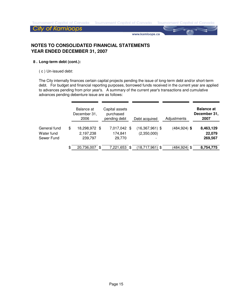**Tournament Capital of Canada** 

**City of Kamloops** 

www.kamloops.ca

# **NOTES TO CONSOLIDATED FINANCIAL STATEMENTS YEAR ENDED DECEMBER 31, 2007**

#### **8 . Long-term debt (cont.):**

( c ) Un-issued debt:

The City internally finances certain capital projects pending the issue of long-term debt and/or short-term debt. For budget and financial reporting purposes, borrowed funds received in the current year are applied to advances pending from prior year's. A summary of the current year's transactions and cumulative advances pending debenture issue are as follows:

|              | Balance at<br>December 31,<br>2006 | Capital assets<br>purchased<br>pending debt | Debt acquired            | Adjustments     | <b>Balance at</b><br>December 31,<br>2007 |
|--------------|------------------------------------|---------------------------------------------|--------------------------|-----------------|-------------------------------------------|
| General fund | \$<br>18,298,972 \$                | 7,017,042 \$                                | $(16,367,961)$ \$        | $(484, 924)$ \$ | 8,463,129                                 |
| Water fund   | 2,197,238                          | 174,841                                     | (2,350,000)              |                 | 22,079                                    |
| Sewer Fund   | 239,797                            | 29,770                                      | $\overline{\phantom{a}}$ |                 | 269,567                                   |
|              | \$<br>20,736,007                   | \$<br>7,221,653 \$                          | $(18,717,961)$ \$        | (484,924) \$    | 8,754,775                                 |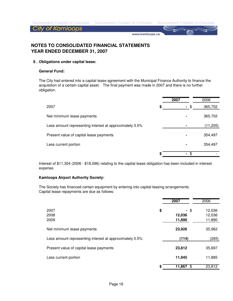**Tournament Capital of Canada** 

**City of Kamloops** 

www.kamloops.ca

# **NOTES TO CONSOLIDATED FINANCIAL STATEMENTS YEAR ENDED DECEMBER 31, 2007**

#### **9 . Obligations under capital lease:**

#### **General Fund:**

The City had entered into a capital lease agreement with the Municipal Finance Authority to finance the acquisition of a certain capital asset. The final payment was made in 2007 and there is no further obligation.

|                                                         | 2007           | 2006      |
|---------------------------------------------------------|----------------|-----------|
| 2007                                                    | \$<br>$\sim$   | 365,702   |
| Net minimum lease payments                              | ٠              | 365,702   |
| Less amount representing interest at approximately 3.5% |                | (11, 205) |
| Present value of capital lease payments                 | $\blacksquare$ | 354,497   |
| Less current portion                                    | ٠              | 354,497   |
|                                                         | \$.<br>۰       |           |

Interest of \$11,304 (2006 - \$18,096) relating to the capital lease obligation has been included in interest expense.

#### **Kamloops Airport Authority Society:**

The Society has financed certain equipment by entering into capital leasing arrangements. Capital lease repayments are due as follows:

|                                                         | 2007                           | 2006                       |
|---------------------------------------------------------|--------------------------------|----------------------------|
| 2007<br>2008<br>2009                                    | \$<br>- \$<br>12,036<br>11,890 | 12,036<br>12,036<br>11,890 |
| Net minimum lease payments                              | 23,926                         | 35,962                     |
| Less amount representing interest at approximately 0.5% | (114)                          | (265)                      |
| Present value of capital lease payments                 | 23,812                         | 35,697                     |
| Less current portion                                    | 11,945                         | 11,885                     |
|                                                         | \$<br>11,867<br>\$             | 23,812                     |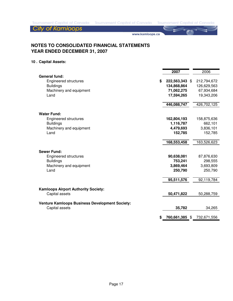www.kamloops.ca

# **NOTES TO CONSOLIDATED FINANCIAL STATEMENTS YEAR ENDED DECEMBER 31, 2007**

### **10 . Capital Assets:**

|                                                       | 2007                 | 2006        |
|-------------------------------------------------------|----------------------|-------------|
| <b>General fund:</b>                                  |                      |             |
| Engineered structures                                 | \$<br>222,563,343 \$ | 212,794,672 |
| <b>Buildings</b>                                      | 134,868,864          | 126,629,563 |
| Machinery and equipment                               | 71,062,275           | 67,934,684  |
| Land                                                  | 17,594,265           | 19,343,206  |
|                                                       | 446,088,747          | 426,702,125 |
| <b>Water Fund:</b>                                    |                      |             |
| <b>Engineered structures</b>                          | 162,804,193          | 158,875,636 |
| <b>Buildings</b>                                      | 1,116,787            | 662,101     |
| Machinery and equipment                               | 4,479,693            | 3,836,101   |
| Land                                                  | 152,785              | 152,785     |
|                                                       | 168,553,458          | 163,526,623 |
| <b>Sewer Fund:</b>                                    |                      |             |
| Engineered structures                                 | 90,638,081           | 87,876,630  |
| <b>Buildings</b>                                      | 753,241              | 298,555     |
| Machinery and equipment                               | 3,869,464            | 3,693,809   |
| Land                                                  | 250,790              | 250,790     |
|                                                       | 95,511,576           | 92,119,784  |
| <b>Kamloops Airport Authority Society:</b>            |                      |             |
| Capital assets                                        | 50,471,822           | 50,288,759  |
| <b>Venture Kamloops Business Development Society:</b> |                      |             |
| Capital assets                                        | 35,782               | 34,265      |
|                                                       | \$<br>760,661,385 \$ | 732,671,556 |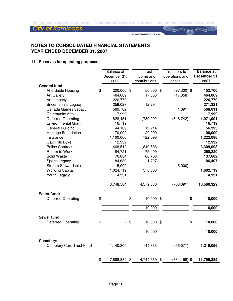www.kamloops.ca

# **NOTES TO CONSOLIDATED FINANCIAL STATEMENTS YEAR ENDED DECEMBER 31, 2007**

### **11 . Reserves for operating purposes:**

|                                 | Balance at   |                | Interest      | Transfers to    | <b>Balance</b> at |
|---------------------------------|--------------|----------------|---------------|-----------------|-------------------|
|                                 | December 31, |                | income and    | operations and  | December 31,      |
|                                 | 2006         |                | contributions | capital         | 2007              |
| <b>General fund:</b>            |              |                |               |                 |                   |
| \$<br>Affordable Housing        | 200,000 \$   |                | 50,000 \$     | $(97,300)$ \$   | 152,700           |
| <b>Art Gallery</b>              | 464,069      |                | 17,358        | (17, 358)       | 464,069           |
| Arts Legacy                     | 226,779      |                |               |                 | 226,779           |
| <b>Bi-centennial Legacy</b>     | 259,027      |                | 12,294        |                 | 271,321           |
| Canada Games Legacy             | 569,702      |                |               | (1,691)         | 568,011           |
| <b>Community Arts</b>           | 7,999        |                |               |                 | 7,999             |
| <b>Deferred Operating</b>       | 828,451      |                | 1,789,292     | (646, 742)      | 1,971,001         |
| <b>Environmental Grant</b>      | 16,719       |                |               |                 | 16,719            |
| <b>General Building</b>         | 44,109       |                | 12,214        |                 | 56,323            |
| Heritage Foundation             | 70,000       |                | 20,000        |                 | 90,000            |
| Insurance                       | 1,100,000    |                | 122,098       |                 | 1,222,098         |
| Oak Hills Dyke                  | 12,932       |                |               |                 | 12,932            |
| <b>Police Contract</b>          | 1,468,512    |                | 1,840,586     |                 | 3,309,098         |
| Return to Work                  | 184,721      |                | 75,499        |                 | 260,220           |
| Solid Waste                     | 76,834       |                | 60,768        |                 | 137,602           |
| Sports Legacy                   | 184,680      |                | 1,727         |                 | 186,407           |
| <b>Stream Stewardship</b>       | 5,000        |                |               | (5,000)         |                   |
| <b>Working Capital</b>          | 1,024,719    |                | 578,000       |                 | 1,602,719         |
| Youth Legacy                    | 4,331        |                |               |                 | 4,331             |
|                                 |              |                |               |                 |                   |
|                                 | 6,748,584    |                | 4,579,836     | (768, 091)      | 10,560,329        |
|                                 |              |                |               |                 |                   |
| <b>Water fund:</b>              |              |                |               |                 |                   |
| <b>Deferred Operating</b><br>\$ |              | \$             | 10,000 \$     | \$              | 10,000            |
|                                 |              |                |               |                 |                   |
|                                 |              |                | 10,000        |                 | 10,000            |
| Sewer fund:                     |              |                |               |                 |                   |
| \$<br><b>Deferred Operating</b> |              | $\mathfrak{F}$ | 10,000 \$     | \$              | 10,000            |
|                                 |              |                |               |                 |                   |
|                                 |              |                | 10,000        |                 | 10,000            |
|                                 |              |                |               |                 |                   |
| Cemetery:                       |              |                |               |                 |                   |
| Cemetery Care Trust Fund        | 1,140,300    |                | 144,833       | (66, 077)       | 1,219,056         |
|                                 |              |                |               |                 |                   |
|                                 |              |                |               |                 |                   |
| \$                              | 7,888,884 \$ |                | 4,744,669 \$  | $(834, 168)$ \$ | 11,799,385        |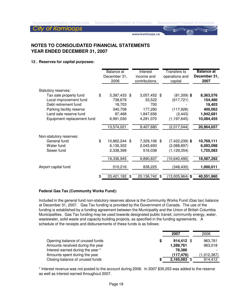**Tournament Capital of Canada** 

#### **City of Kamloops**

www.kamloops.ca

# **NOTES TO CONSOLIDATED FINANCIAL STATEMENTS YEAR ENDED DECEMBER 31, 2007**

#### **12 . Reserves for capital purposes:**

|                            |    | Balance at<br>December 31,<br>2006 | Interest<br>income and<br>contributions | Transfers to<br>operations and<br>capital | <b>Balance at</b><br>December 31,<br>2007 |
|----------------------------|----|------------------------------------|-----------------------------------------|-------------------------------------------|-------------------------------------------|
| Statutory reserves:        |    |                                    |                                         |                                           |                                           |
| Tax sale property fund     | \$ | 5,387,433                          | \$<br>3,057,452 \$                      | $(81,309)$ \$                             | 8,363,576                                 |
| Local improvement fund     |    | 738,679                            | 33,522                                  | (617, 721)                                | 154,480                                   |
| Debt retirement fund       |    | 18,703                             | 700                                     |                                           | 19,403                                    |
| Parking facility reserve   |    | 340,708                            | 177,280                                 | (117, 926)                                | 400,062                                   |
| Land sale reserve fund     |    | 97,468                             | 1,847,656                               | (2, 443)                                  | 1,942,681                                 |
| Equipment replacement fund |    | 6,991,030                          | 4,291,070                               | (1, 197, 645)                             | 10,084,455                                |
|                            |    | 13,574,021                         | 9,407,680                               | (2,017,044)                               | 20,964,657                                |
| Non-statutory reserves:    |    |                                    |                                         |                                           |                                           |
| General fund               | \$ | 10,862,244                         | \$<br>7,329,106 \$                      | $(7,422,239)$ \$                          | 10,769,111                                |
| Water fund                 |    | 6,136,302                          | 2,045,693                               | (2,088,897)                               | 6,093,098                                 |
| Sewer fund                 |    | 2,338,399                          | 516,038                                 | (1, 129, 354)                             | 1,725,083                                 |
|                            |    | 19,336,945                         | 9,890,837                               | (10, 640, 490)                            | 18,587,292                                |
| Airport capital fund       |    | 510,216                            | 838,225                                 | (348, 430)                                | 1,000,011                                 |
|                            |    |                                    |                                         |                                           |                                           |
|                            | Ж, | 33,421,182 \$                      | 20,136,742                              | \$<br>$(13,005,964)$ \$                   | 40,551,960                                |

#### **Federal Gas Tax (Community Works Fund):**

Included in the general fund non-statutory reserves above is the Community Works Fund (Gas tax) balance at December 31, 2007. Gas Tax funding is provided by the Government of Canada. The use of the funding is established by a funding agreement between the Municipality and the Union of British Columbia Municipalities. Gas Tax funding may be used towards designated public transit, community energy, water, wastewater, solid waste and capacity building projects, as specified in the funding agreements. A schedule of the receipts and disbursements of these funds is as follows:

|                                   |   | 2007       | 2006        |
|-----------------------------------|---|------------|-------------|
| Opening balance of unused funds   | S | 914.412 \$ | 963,761     |
| Amounts received during the year  |   | 1,289,761  | 963,018     |
| Interest earned during the year * |   | 78.386     |             |
| Amounts spent during the year     |   | (117, 476) | (1,012,367) |
| Closing balance of unused funds   |   | 2,165,083  | 914,412     |

\* Interest revenue was not posted to the account during 2006. In 2007 \$35,053 was added to the reserve as well as interest earned throughout 2007.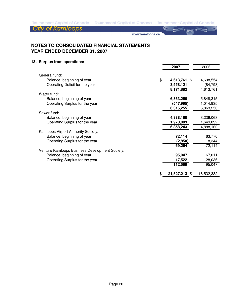www.kamloops.ca

# **NOTES TO CONSOLIDATED FINANCIAL STATEMENTS YEAR ENDED DECEMBER 31, 2007**

### **13 . Surplus from operations:**

|                                                | 2007                    | 2006       |
|------------------------------------------------|-------------------------|------------|
| General fund:                                  |                         |            |
|                                                |                         |            |
| Balance, beginning of year                     | \$<br>4,613,761 \$      | 4,698,554  |
| Operating Deficit for the year                 | 3,558,121               | (84, 793)  |
|                                                | 8,171,882               | 4,613,761  |
| Water fund:                                    |                         |            |
| Balance, beginning of year                     | 6,863,250               | 5,848,315  |
| Operating Surplus for the year                 | (547, 995)              | 1,014,935  |
|                                                | 6,315,255               | 6,863,250  |
| Sewer fund:                                    |                         |            |
| Balance, beginning of year                     | 4,888,160               | 3,239,068  |
| Operating Surplus for the year                 | 1,970,083               | 1,649,092  |
|                                                | 6,858,243               | 4,888,160  |
| Kamloops Airport Authority Society:            |                         |            |
| Balance, beginning of year                     | 72,114                  | 63,770     |
| Operating Surplus for the year                 | (2,850)                 | 8,344      |
|                                                | 69,264                  | 72,114     |
| Venture Kamloops Business Development Society: |                         |            |
| Balance, beginning of year                     | 95,047                  | 67,011     |
| Operating Surplus for the year                 | 17,522                  | 28,036     |
|                                                | 112,569                 | 95,047     |
|                                                |                         |            |
|                                                | \$<br>21,527,213<br>-SG | 16,532,332 |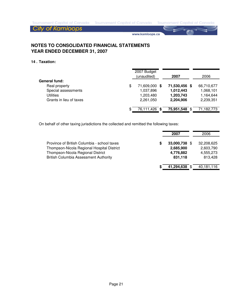www.kamloops.ca

# **NOTES TO CONSOLIDATED FINANCIAL STATEMENTS YEAR ENDED DECEMBER 31, 2007**

#### **14 . Taxation:**

| (unaudited)         | 2007                            | 2006       |
|---------------------|---------------------------------|------------|
|                     |                                 |            |
| \$<br>71,609,000 \$ | 71,530,456 \$                   | 66,710,677 |
| 1,037,896           | 1,012,443                       | 1,068,101  |
| 1,203,480           | 1,203,743                       | 1,164,644  |
| 2,261,050           | 2,204,906                       | 2,239,351  |
| -S                  |                                 | 71,182,773 |
|                     | 2007 Budget<br>76,111,426<br>\$ | 75,951,548 |

On behalf of other taxing jurisdictions the collected and remitted the following taxes:

|                                                                                                                                                                                |   | 2007                                               | 2006                                            |
|--------------------------------------------------------------------------------------------------------------------------------------------------------------------------------|---|----------------------------------------------------|-------------------------------------------------|
| Province of British Columbia - school taxes<br>Thompson-Nicola Regional Hospital District<br>Thompson-Nicola Regional District<br><b>British Columbia Assessment Authority</b> | S | 33,000,738 \$<br>2,685,900<br>4,776,882<br>831,118 | 32,208,625<br>2,603,790<br>4,555,273<br>813,428 |
|                                                                                                                                                                                |   | 41,294,638 \$                                      | 40,181,116                                      |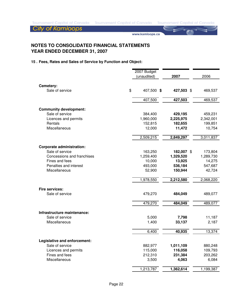**City of Kamloops** 

www.kamloops.ca

# **NOTES TO CONSOLIDATED FINANCIAL STATEMENTS YEAR ENDED DECEMBER 31, 2007**

#### **15 . Fees, Rates and Sales of Service by Function and Object:**

|                                                     | 2007 Budget |            |           |
|-----------------------------------------------------|-------------|------------|-----------|
|                                                     | (unaudited) | 2007       | 2006      |
|                                                     |             |            |           |
| Cemetery:                                           |             |            |           |
| \$<br>Sale of service                               | 407,500 \$  | 427,503 \$ | 469,537   |
|                                                     | 407,500     | 427,503    | 469,537   |
| <b>Community development:</b>                       |             |            |           |
| Sale of service                                     | 384,400     | 429,195    | 459,231   |
| Licences and permits                                | 1,960,000   | 2,225,975  | 2,342,001 |
| Rentals                                             | 152,815     | 182,655    | 199,851   |
| Miscellaneous                                       | 12,000      | 11,472     | 10,754    |
|                                                     | 2,509,215   | 2,849,297  | 3,011,837 |
|                                                     |             |            |           |
| <b>Corporate administration:</b><br>Sale of service | 163,250     | 182,007 \$ | 173,804   |
| Concessions and franchises                          | 1,259,400   | 1,329,520  | 1,289,730 |
| Fines and fees                                      | 10,000      | 13,925     | 14,275    |
| Penalties and interest                              | 493,000     | 536,184    | 547,687   |
| Miscellaneous                                       | 52,900      | 150,944    | 42,724    |
|                                                     | 1,978,550   | 2,212,580  | 2,068,220 |
|                                                     |             |            |           |
| <b>Fire services:</b>                               |             |            |           |
| Sale of service                                     | 479,270     | 484,049    | 489,077   |
|                                                     | 479,270     | 484,049    | 489,077   |
| Infrastructure maintenance:                         |             |            |           |
| Sale of service                                     | 5,000       | 7,798      | 11,187    |
| Miscellaneous                                       | 1,400       | 33,137     | 2,187     |
|                                                     | 6,400       | 40,935     | 13,374    |
| Legislative and enforcement:                        |             |            |           |
| Sale of service                                     | 882,977     | 1,011,109  | 880,248   |
| Licences and permits                                | 115,000     | 116,058    | 109,793   |
| Fines and fees                                      | 212,310     | 231,384    | 203,262   |
| Miscellaneous                                       | 3,500       | 4,063      | 6,084     |
|                                                     | 1,213,787   | 1,362,614  | 1,199,387 |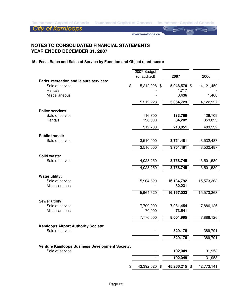**City of Kamloops** 

www.kamloops.ca

# **NOTES TO CONSOLIDATED FINANCIAL STATEMENTS YEAR ENDED DECEMBER 31, 2007**

#### **15 . Fees, Rates and Sales of Service by Function and Object (continued):**

|                                                                  | 2007 Budget   |                |                       |
|------------------------------------------------------------------|---------------|----------------|-----------------------|
|                                                                  | (unaudited)   | 2007           | 2006                  |
| Parks, recreation and leisure services:<br>\$<br>Sale of service | 5,212,228 \$  | 5,046,570 \$   | 4,121,459             |
| Rentals<br>Miscellaneous                                         |               | 4,717<br>3,436 | 1,468                 |
|                                                                  | 5,212,228     | 5,054,723      | $\sqrt{4}$ , 122, 927 |
| <b>Police services:</b>                                          |               |                |                       |
| Sale of service                                                  | 116,700       | 133,769        | 129,709               |
| Rentals                                                          | 196,000       | 84,282         | 353,823               |
|                                                                  | 312,700       | 218,051        | 483,532               |
|                                                                  |               |                |                       |
| <b>Public transit:</b><br>Sale of service                        | 3,510,000     | 3,754,481      | 3,532,487             |
|                                                                  | 3,510,000     | 3,754,481      | 3,532,487             |
|                                                                  |               |                |                       |
| Solid waste:<br>Sale of service                                  | 4,028,250     | 3,758,745      | 3,501,530             |
|                                                                  | 4,028,250     | 3,758,745      | 3,501,530             |
|                                                                  |               |                |                       |
| <b>Water utility:</b><br>Sale of service                         | 15,964,620    | 16,134,792     | 15,573,363            |
| Miscellaneous                                                    |               | 32,231         |                       |
|                                                                  |               |                |                       |
|                                                                  | 15,964,620    | 16,167,023     | 15,573,363            |
| Sewer utility:                                                   |               |                |                       |
| Sale of service                                                  | 7,700,000     | 7,931,454      | 7,886,126             |
| Miscellaneous                                                    | 70,000        | 73,541         |                       |
|                                                                  | 7,770,000     | 8,004,995      | 7,886,126             |
|                                                                  |               |                |                       |
| <b>Kamloops Airport Authority Society:</b><br>Sale of service    |               | 829,170        | 389,791               |
|                                                                  |               | 829,170        | 389,791               |
|                                                                  |               |                |                       |
| <b>Venture Kamloops Business Development Society:</b>            |               |                |                       |
| Sale of service                                                  |               | 102,049        | 31,953                |
|                                                                  |               | 102,049        | 31,953                |
| \$                                                               | 43,392,520 \$ | 45,266,215 \$  | 42,773,141            |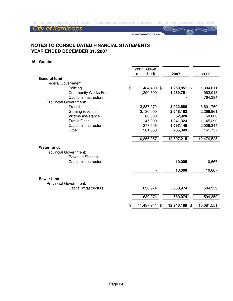# **City of Kamloops**

www.kamloops.ca

# **NOTES TO CONSOLIDATED FINANCIAL STATEMENTS YEAR ENDED DECEMBER 31, 2007**

#### **16 . Grants:**

|                               | 2007 Budget        |   |               |                 |
|-------------------------------|--------------------|---|---------------|-----------------|
|                               | (unaudited)        |   | 2007          | 2006            |
| <b>General fund:</b>          |                    |   |               |                 |
| <b>Federal Government:</b>    |                    |   |               |                 |
| Policing                      | \$<br>1,484,400 \$ |   | 1,259,851     | \$<br>1,304,011 |
| <b>Community Works Fund</b>   | 1,290,699          |   | 1,289,761     | 963,018         |
| Capital infrastructure        |                    |   |               | 764,384         |
| <b>Provincial Government:</b> |                    |   |               |                 |
| Transit                       | 3,887,272          |   | 3,922,686     | 3,801,760       |
| Gaming revenue                | 2,130,000          |   | 2,648,182     | 2,266,961       |
| Victims assistance            | 60,000             |   | 62,920        | 60,000          |
| <b>Traffic Fines</b>          | 1,145,290          |   | 1,241,323     | 1,145,290       |
| Capital infrastructure        | 277,656            |   | 1,597,149     | 2,009,344       |
| Other                         | 581,650            |   | 285,343       | 161,757         |
|                               | 10,856,967         |   | 12,307,215    | 12,476,525      |
| <b>Water fund:</b>            |                    |   |               |                 |
| <b>Provincial Government:</b> |                    |   |               |                 |
| Revenue Sharing               |                    |   |               |                 |
| Capital infrastructure        |                    |   | 10,000        | 10,667          |
|                               |                    |   | 10,000        | 10,667          |
| Sewer fund:                   |                    |   |               |                 |
| <b>Provincial Government:</b> |                    |   |               |                 |
| Capital infrastructure        | 630,974            |   | 630,974       | 594,359         |
|                               | 630,974            |   | 630,974       | 594,359         |
|                               | \$<br>11,487,941   | S | 12,948,189 \$ | 13,081,551      |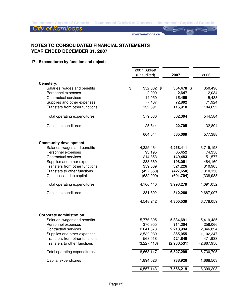www.kamloops.ca

# **NOTES TO CONSOLIDATED FINANCIAL STATEMENTS YEAR ENDED DECEMBER 31, 2007**

#### **17 . Expenditures by function and object:**

|                                                               | 2007 Budget            |                    |                        |
|---------------------------------------------------------------|------------------------|--------------------|------------------------|
|                                                               | (unaudited)            | 2007               | 2006                   |
| Cemetery:                                                     |                        |                    |                        |
| Salaries, wages and benefits                                  | \$<br>352,682 \$       | 354,478 \$         | 350,496                |
| Personnel expenses                                            | 2,000                  | 2,647              | 2,034                  |
| <b>Contractual services</b>                                   | 14,050                 | 15,459             | 15,438                 |
| Supplies and other expenses                                   | 77,407                 | 72,802             | 71,924                 |
| Transfers from other functions                                | 132,891                | 116,918            | 104,692                |
| Total operating expenditures                                  | 579,030                | 562,304            | 544,584                |
| Capital expenditures                                          | 25,514                 | 22,705             | 32,804                 |
|                                                               | 604,544                | 585,009            | 577,388                |
| <b>Community development:</b>                                 |                        |                    |                        |
| Salaries, wages and benefits                                  | 4,325,464              | 4,268,411          | 3,719,198              |
| Personnel expenses                                            | 93,195                 | 85,452             | 74,350                 |
| <b>Contractual services</b>                                   | 214,853                | 149,483            | 151,577                |
| Supplies and other expenses                                   | 233,569                | 198,061            | 484,160                |
| Transfers from other functions                                | 359,009                | 321,226            | 310,905                |
| Transfers to other functions                                  | (427, 650)             | (427, 650)         | (310, 150)             |
| Cost allocated to capital                                     | (632,000)              | (601, 704)         | (338,988)              |
| Total operating expenditures                                  | 4,166,440              | 3,993,279          | 4,091,052              |
| Capital expenditures                                          | 381,802                | 312,260            | 2,687,007              |
|                                                               | 4,548,242              | 4,305,539          | 6,778,059              |
|                                                               |                        |                    |                        |
| <b>Corporate administration:</b>                              |                        |                    |                        |
| Salaries, wages and benefits                                  | 5,776,395              | 5,834,691          | 5,419,485              |
| Personnel expenses                                            | 370,955                | 314,304            | 258,066                |
| <b>Contractual services</b>                                   | 2,641,673              | 2,218,934          | 2,346,824              |
| Supplies and other expenses<br>Transfers from other functions | 2,532,989              | 865,055<br>524,846 | 1,102,347              |
| Transfers to other functions                                  | 568,518<br>(3,227,413) | (2,930,531)        | 471,933<br>(2,867,950) |
| Total operating expenditures                                  | 8,663,117              | 6,827,299          | 6,730,705              |
| Capital expenditures                                          | 1,894,026              | 738,920            | 1,668,503              |
|                                                               | 10,557,143             | 7,566,219          | 8,399,208              |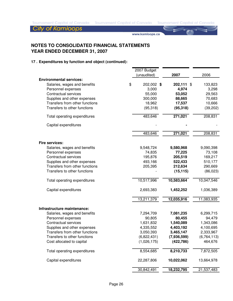**City of Kamloops** 

www.kamloops.ca

# **NOTES TO CONSOLIDATED FINANCIAL STATEMENTS YEAR ENDED DECEMBER 31, 2007**

|                                | 2007 Budget<br>(unaudited) | 2007                 | 2006          |
|--------------------------------|----------------------------|----------------------|---------------|
| <b>Environmental services:</b> |                            |                      |               |
| Salaries, wages and benefits   | \$<br>202,002 \$           | 202,111              | \$<br>133,823 |
| Personnel expenses             | 3,000                      | 4,974                | 3,298         |
| <b>Contractual services</b>    | 55,000                     | 53,052               | 29,563        |
| Supplies and other expenses    | 300,000                    | 88,665               | 70,683        |
| Transfers from other functions | 18,962                     | 17,537               | 10,666        |
| Transfers to other functions   | (95, 318)                  | (95, 318)            | (39, 202)     |
| Total operating expenditures   | 483,646                    | 271,021              | 208,831       |
| Capital expenditures           |                            |                      |               |
|                                | 483,646                    | $\overline{271,021}$ | 208,831       |
| Fire services:                 |                            |                      |               |
| Salaries, wages and benefits   | 9,548,724                  | 9,580,968            | 9,090,398     |
| Personnel expenses             | 74,835                     | 77,225               | 73,108        |
| <b>Contractual services</b>    | 195,876                    | 205,519              | 169,217       |
| Supplies and other expenses    | 493,166                    | 522,433              | 510,177       |
| Transfers from other functions | 205,395                    | 212,634              | 290,669       |
| Transfers to other functions   |                            | (15, 115)            | (86, 023)     |
| Total operating expenditures   | 10,517,996                 | 10,583,664           | 10,047,546    |
| Capital expenditures           | 2,693,383                  | 1,452,252            | 1,036,389     |
|                                | 13,211,379                 | 12,035,916           | 11,083,935    |
| Infrastructure maintenance:    |                            |                      |               |
| Salaries, wages and benefits   | 7,294,709                  | 7,081,235            | 6,299,715     |
| Personnel expenses             | 90,805                     | 80,455               | 94,479        |
| <b>Contractual services</b>    | 1,631,832                  | 1,540,089            | 1,343,086     |
| Supplies and other expenses    | 4,335,552                  | 4,403,192            | 4,100,695     |
| Transfers from other functions | 3,050,393                  | 3,465,147            | 2,333,967     |
| Transfers to other functions   | (6,822,431)                | (7,936,599)          | (6, 764, 113) |
| Cost allocated to capital      | (1,026,175)                | (422, 786)           | 464,676       |
| Total operating expenditures   | 8,554,685                  | 8,210,733            | 7,872,505     |
| Capital expenditures           | 22,287,806                 | 10,022,062           | 13,664,978    |
|                                | 30,842,491                 | 18,232,795           | 21,537,483    |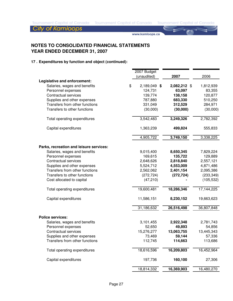**City of Kamloops** 

www.kamloops.ca

# **NOTES TO CONSOLIDATED FINANCIAL STATEMENTS YEAR ENDED DECEMBER 31, 2007**

|                                         | 2007 Budget<br>(unaudited) | 2007         | 2006       |
|-----------------------------------------|----------------------------|--------------|------------|
| Legislative and enforcement:            |                            |              |            |
| Salaries, wages and benefits            | \$<br>2,189,049 \$         | 2,082,212 \$ | 1,812,939  |
| Personnel expenses                      | 124,731                    | 63,097       | 83,355     |
| Contractual services                    | 139,774                    | 138,158      | 120,877    |
| Supplies and other expenses             | 787,880                    | 683,330      | 510,250    |
| Transfers from other functions          | 331,049                    | 312,529      | 284,971    |
| Transfers to other functions            | (30,000)                   | (30,000)     | (30,000)   |
| Total operating expenditures            | 3,542,483                  | 3,249,326    | 2,782,392  |
| Capital expenditures                    | 1,363,239                  | 499,824      | 555,833    |
|                                         | 4,905,722                  | 3,749,150    | 3,338,225  |
| Parks, recreation and leisure services: |                            |              |            |
| Salaries, wages and benefits            | 9,015,400                  | 8,650,345    | 7,829,224  |
| Personnel expenses                      | 169,615                    | 135,722      | 129,889    |
| <b>Contractual services</b>             | 2,648,626                  | 2,818,840    | 2,557,121  |
| Supplies and other expenses             | 5,524,712                  | 4,553,009    | 4,871,486  |
| Transfers from other functions          | 2,562,062                  | 2,401,154    | 2,095,386  |
| Transfers to other functions            | (272, 724)                 | (272, 724)   | (233, 349) |
| Cost allocated to capital               | (47, 210)                  |              | (105, 532) |
| Total operating expenditures            | 19,600,481                 | 18,286,346   | 17,144,225 |
| Capital expenditures                    | 11,586,151                 | 8,230,152    | 19,663,623 |
|                                         | 31,186,632                 | 26,516,498   | 36,807,848 |
| <b>Police services:</b>                 |                            |              |            |
| Salaries, wages and benefits            | 3,101,455                  | 2,922,348    | 2,781,743  |
| Personnel expenses                      | 52,650                     | 49,893       | 54,856     |
| Contractual services                    | 15,276,277                 | 13,063,755   | 13,445,343 |
| Supplies and other expenses             | 73,469                     | 59,144       | 57,336     |
| Transfers from other functions          | 112,745                    | 114,663      | 113,686    |
| Total operating expenditures            | 18,616,596                 | 16,209,803   | 16,452,964 |
| Capital expenditures                    | 197,736                    | 160,100      | 27,306     |
|                                         | 18,814,332                 | 16,369,903   | 16,480,270 |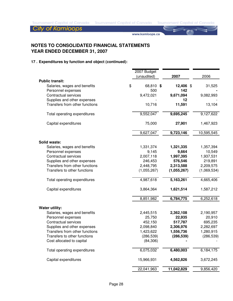**City of Kamloops** 

www.kamloops.ca

# **NOTES TO CONSOLIDATED FINANCIAL STATEMENTS YEAR ENDED DECEMBER 31, 2007**

|                                | 2007 Budget<br>(unaudited) | 2007        | 2006        |
|--------------------------------|----------------------------|-------------|-------------|
| <b>Public transit:</b>         |                            |             |             |
| Salaries, wages and benefits   | \$<br>68,810 \$            | 12,406 \$   | 31,525      |
| Personnel expenses             | 500                        | 142         |             |
| <b>Contractual services</b>    | 9,472,021                  | 9,671,094   | 9,082,993   |
| Supplies and other expenses    |                            | 12          |             |
| Transfers from other functions | 10,716                     | 11,591      | 13,104      |
| Total operating expenditures   | 9,552,047                  | 9,695,245   | 9,127,622   |
| Capital expenditures           | 75,000                     | 27,901      | 1,467,923   |
|                                | 9,627,047                  | 9,723,146   | 10,595,545  |
| <b>Solid waste:</b>            |                            |             |             |
| Salaries, wages and benefits   | 1,331,374                  | 1,321,335   | 1,357,394   |
| Personnel expenses             | 9,145                      | 9,664       | 10,549      |
| <b>Contractual services</b>    | 2,007,118                  | 1,997,395   | 1,937,531   |
| Supplies and other expenses    | 246,453                    | 576,546     | 219,891     |
| Transfers from other functions | 2,448,795                  | 2,313,588   | 2,209,575   |
| Transfers to other functions   | (1,055,267)                | (1,055,267) | (1,069,534) |
| Total operating expenditures   | 4,987,618                  | 5,163,261   | 4,665,406   |
| Capital expenditures           | 3,864,364                  | 1,621,514   | 1,587,212   |
|                                | 8,851,982                  | 6,784,775   | 6,252,618   |
| <b>Water utility:</b>          |                            |             |             |
| Salaries, wages and benefits   | 2,445,515                  | 2,362,108   | 2,190,957   |
| Personnel expenses             | 25,750                     | 22,935      | 20,910      |
| <b>Contractual services</b>    | 452,150                    | 517,787     | 695,235     |
| Supplies and other expenses    | 2,098,840                  | 2,306,976   | 2,282,697   |
| Transfers from other functions | 1,423,622                  | 1,556,736   | 1,280,915   |
| Transfers to other functions   | (286, 539)                 | (286, 539)  | (286, 539)  |
| Cost allocated to capital      | (84, 306)                  |             |             |
| Total operating expenditures   | 6,075,032                  | 6,480,003   | 6,184,175   |
| Capital expenditures           | 15,966,931                 | 4,562,826   | 3,672,245   |
|                                | 22,041,963                 | 11,042,829  | 9,856,420   |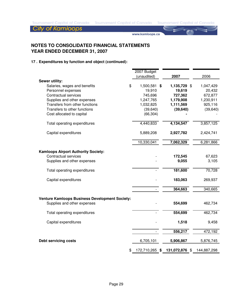**City of Kamloops** 

www.kamloops.ca

# **NOTES TO CONSOLIDATED FINANCIAL STATEMENTS YEAR ENDED DECEMBER 31, 2007**

|                                                       | 2007 Budget          |                |             |
|-------------------------------------------------------|----------------------|----------------|-------------|
|                                                       | (unaudited)          | 2007           | 2006        |
| Sewer utility:                                        |                      |                |             |
| Salaries, wages and benefits                          | \$<br>1,500,581 \$   | 1,135,729 \$   | 1,047,429   |
| Personnel expenses                                    | 19,910               | 19,619         | 20,432      |
| <b>Contractual services</b>                           | 745,696              | 727,362        | 672,877     |
| Supplies and other expenses                           | 1,247,765            | 1,179,908      | 1,230,911   |
| Transfers from other functions                        | 1,032,825            | 1,111,569      | 925,116     |
| Transfers to other functions                          | (39, 640)            | (39, 640)      | (39, 640)   |
| Cost allocated to capital                             | (66, 304)            |                |             |
| Total operating expenditures                          | 4,440,833            | 4,134,547      | 3,857,125   |
| Capital expenditures                                  | 5,889,208            | 2,927,782      | 2,424,741   |
|                                                       | 10,330,041           | 7,062,329      | 6,281,866   |
|                                                       |                      |                |             |
| <b>Kamloops Airport Authority Society:</b>            |                      |                |             |
| Contractual services                                  |                      | 172,545        | 67,623      |
| Supplies and other expenses                           |                      | 9,055          | 3,105       |
| Total operating expenditures                          |                      | 181,600        | 70,728      |
| Capital expenditures                                  |                      | 183,063        | 269,937     |
|                                                       |                      | 364,663        | 340,665     |
|                                                       |                      |                |             |
| <b>Venture Kamloops Business Development Society:</b> |                      |                |             |
| Supplies and other expenses                           |                      | 554,699        | 462,734     |
| Total operating expenditures                          |                      | 554,699        | 462,734     |
| Capital expenditures                                  |                      | 1,518          | 9,458       |
|                                                       |                      | 556,217        | 472,192     |
| <b>Debt servicing costs</b>                           | 6,705,101            | 5,906,867      | 5,876,745   |
|                                                       | \$<br>172,710,265 \$ | 131,072,876 \$ | 144,887,298 |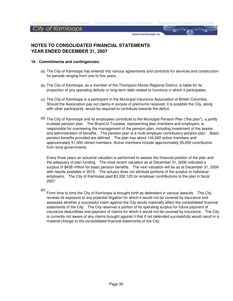**Tournament Capital of Canada** 

**Tournament Capital of Canada** 

City of Kamloops

www.kamloops.ca

# **NOTES TO CONSOLIDATED FINANCIAL STATEMENTS YEAR ENDED DECEMBER 31, 2007**

#### **18 . Commitments and contingencies:**

- (a) The City of Kamloops has entered into various agreements and contracts for services and construction for periods ranging from one to five years.
- (b) The City of Kamloops, as a member of the Thompson Nicola Regional District, is liable for its proportion of any operating deficits or long-term debt related to functions in which it participates.
- (c) The City of Kamloops is a participant in the Municipal Insurance Association of British Columbia. Should the Association pay out claims in excess of premiums received, it is possible the City, along with other participants, would be required to contribute towards the deficit.
- (d) The City of Kamloops and its employees contribute to the Municipal Pension Plan ("the plan"), a jointly trusteed pension plan. The Board of Trustees, representing plan members and employers, is responsible for overseeing the management of the pension plan, including investment of the assets and administration of benefits. The pension plan is a multi-employer contributory pension plan. Basic pension benefits provided are defined. The plan has about 144,000 active members and approximately 51,000 retired members. Active members include approximately 35,000 contributors from local governments.

Every three years an actuarial valuation is performed to assess the financial position of the plan and the adequacy of plan funding. The most recent valuation as at December 31, 2006 indicated a surplus of \$438 million for basic pension benefits. The next valuation will be as at December 31, 2009 with results available in 2010. The actuary does not attribute portions of the surplus to individual employers. The City of Kamloops paid \$3,332,125 for employer contributions to the plan in fiscal 2007.

(e) From time to time the City of Kamloops is brought forth as defendant in various lawsuits. The City reviews its exposure to any potential litigation for which it would not be covered by insurance and assesses whether a successful claim against the City would materially affect the consolidated financial statements of the City. The City reserves a portion of its operating surplus for future payment of insurance deductibles and payment of claims for which it would not be covered by insurance, The City is currently not aware of any claims brought against it that if not defended successfully would result in a material change to the consolidated financial statements of the City.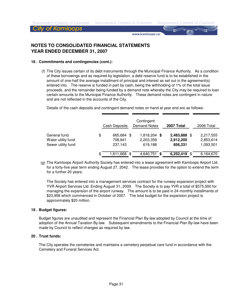**Tournament Capital of Canada** 

#### City of Kamloops

www.kamloops.ca

# **NOTES TO CONSOLIDATED FINANCIAL STATEMENTS YEAR ENDED DECEMBER 31, 2007**

#### **18 . Commitments and contingencies (cont.):**

(f) The City issues certain of its debt instruments through the Municipal Finance Authority. As a condition of these borrowings and as required by legislation, a debt reserve fund is to be established in the amount of one-half the average installment of principal and interest as set out in the agreement(s) entered into. The reserve is funded in part by cash, being the withholding of 1% of the total issue proceeds, and the remainder being funded by a demand note whereby the City may be required to loan certain amounts to the Municipal Finance Authority. These demand notes are contingent in nature and are not reflected in the accounts of the City.

Details of the cash deposits and contingent demand notes on hand at year end are as follows:

|                                                          | Cash Deposits                       |     | Contingent<br><b>Demand Notes</b> |      | 2007 Total                        |      | 2006 Total                          |
|----------------------------------------------------------|-------------------------------------|-----|-----------------------------------|------|-----------------------------------|------|-------------------------------------|
| General fund<br>Water utility fund<br>Sewer utility fund | \$<br>665,684<br>708,841<br>237,143 | -SS | 1,818,204<br>2,203,359<br>619,188 | - \$ | 2,483,888<br>2,912,200<br>856,331 | - \$ | 2,217,555<br>2,853,614<br>1,093,501 |
|                                                          | \$<br>1,611,668 \$                  |     | 4,640,751                         | - \$ | 6,252,419                         | - \$ | 6,164,670                           |

(g) The Kamloops Airport Authority Society has entered into a lease agreement with Kamloops Airport Ltd. for a forty-five year term ending August 27, 2042. The lease provides for the option to extend the term for a further 20 years.

The Society has entered into a management services contract for the runway expansion project with YVR Airport Services Ltd. Ending August 31, 2009. The Society is to pay YVR a total of \$575,000 for managing the expansion of the airport runway. The amount is to be paid in 24 monthly installments of \$23,958 which commenced in October of 2007. The total budget for the expansion project is approximately \$20 million.

#### **19 . Budget figures:**

Budget figures are unaudited and represent the Financial Plan By-law adopted by Council at the time of adoption of the Annual Taxation By-law. Subsequent amendments to the Financial Plan By-law have been made by Council to reflect changes as required by law.

#### **20 . Trust funds:**

The City operates the cemeteries and maintains a cemetery perpetual care fund in accordance with the Cemetery and Funeral Services Act.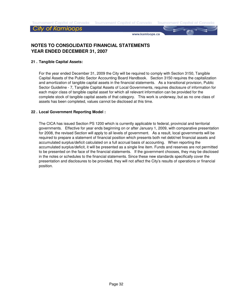www.kamloops.ca

# **NOTES TO CONSOLIDATED FINANCIAL STATEMENTS YEAR ENDED DECEMBER 31, 2007**

#### **21 . Tangible Capital Assets:**

For the year ended December 31, 2009 the City will be required to comply with Section 3150, Tangible Capital Assets of the Public Sector Accounting Board Handbook. Section 3150 requires the capitalization and amortization of tangible capital assets in the financial statements. As a transitional provision, Public Sector Guideline - 7, Tangible Capital Assets of Local Governments, requires disclosure of information for each major class of tangible capital asset for which all relevant information can be provided for the complete stock of tangible capital assets of that category. This work is underway, but as no one class of assets has been completed, values cannot be disclosed at this time.

#### **22 . Local Government Reporting Model :**

The CICA has issued Section PS 1200 which is currently applicable to federal, provincial and territorial governments. Effective for year ends beginning on or after January 1, 2009, with comparative presentation for 2008, the revised Section will apply to all levels of government. As a result, local governments will be required to prepare a statement of financial position which presents both net debt/net financial assets and accumulated surplus/deficit calculated on a full accrual basis of accounting. When reporting the accumulated surplus/deficit, it will be presented as a single line item. Funds and reserves are not permitted to be presented on the face of the financial statements. If the government chooses, they may be disclosed in the notes or schedules to the financial statements. Since these new standards specifically cover the presentation and disclosures to be provided, they will not affect the City's results of operations or financial position.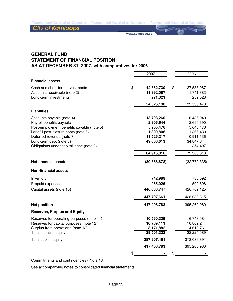www.kamloops.ca

# **GENERAL FUND STATEMENT OF FINANCIAL POSITION AS AT DECEMBER 31, 2007, with comparatives for 2006**

|                                           | 2007             | 2006             |
|-------------------------------------------|------------------|------------------|
| <b>Financial assets</b>                   |                  |                  |
| Cash and short-term investments           | \$<br>42,362,730 | \$<br>27,533,067 |
| Accounts receivable (note 3)              | 11,892,087       | 11,741,383       |
| Long-term investments                     | 271,321          | 259,028          |
|                                           | 54,526,138       | 39,533,478       |
| <b>Liabilities</b>                        |                  |                  |
| Accounts payable (note 4)                 | 13,798,260       | 16,486,940       |
| Payroll benefits payable                  | 2,806,644        | 2,695,690        |
| Post-employment benefits payable (note 5) | 5,905,476        | 5,643,476        |
| Landfill post-closure costs (note 6)      | 1,809,806        | 1,366,430        |
| Deferred revenue (note 7)                 | 11,526,217       | 10,911,136       |
| Long-term debt (note 8)                   | 49,068,613       | 34,847,644       |
| Obligations under capital lease (note 9)  |                  | 354,497          |
|                                           | 84,915,016       | 72,305,813       |
| <b>Net financial assets</b>               | (30, 388, 878)   | (32, 772, 335)   |
| <b>Non-financial assets</b>               |                  |                  |
| Inventory                                 | 742,989          | 738,592          |
| Prepaid expenses                          | 965,925          | 592,598          |
| Capital assets (note 10)                  | 446,088,747      | 426,702,125      |
|                                           | 447,797,661      | 428,033,315      |
| <b>Net position</b>                       | 417,408,783      | 395,260,980      |
| <b>Reserves, Surplus and Equity</b>       |                  |                  |
| Reserves for operating purposes (note 11) | 10,560,329       | 6,748,584        |
| Reserves for capital purposes (note 12)   | 10,769,111       | 10,862,244       |
| Surplus from operations (note 13)         | 8,171,882        | 4,613,761        |
| Total financial equity                    | 29,501,322       | 22,224,589       |
| Total capital equity                      | 387,907,461      | 373,036,391      |
|                                           | 417,408,783      | 395,260,980      |
|                                           | \$               | \$               |

Commitments and contingencies - Note 18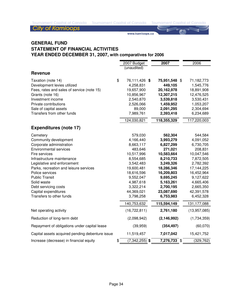**City of Kamloops** 

www.kamloops.ca

# **GENERAL FUND STATEMENT OF FINANCIAL ACTIVITIES YEAR ENDED DECEMBER 31, 2007, with comparatives for 2006**

|                                                 | 2007 Budget            | 2007           | 2006         |
|-------------------------------------------------|------------------------|----------------|--------------|
|                                                 | (unaudited)            |                |              |
| <b>Revenue</b>                                  |                        |                |              |
| Taxation (note 14)                              | \$<br>76,111,426 \$    | 75,951,548 \$  | 71,182,773   |
| Development levies utilized                     | 4,258,831              | 449,105        | 1,545,776    |
| Fees, rates and sales of service (note 15)      | 19,657,900             | 20,162,978     | 18,891,908   |
| Grants (note 16)                                | 10,856,967             | 12,307,215     | 12,476,525   |
| Investment income                               | 2,540,870              | 3,539,818      | 3,530,431    |
| Private contributions                           | 2,526,066              | 1,459,952      | 1,053,207    |
| Sale of capital assets                          | 89,000                 | 2,091,295      | 2,304,694    |
| Transfers from other funds                      | 7,989,761              | 2,393,418      | 6,234,689    |
|                                                 | 124,030,821            | 118,355,329    | 117,220,003  |
| <b>Expenditures (note 17)</b>                   |                        |                |              |
| Cemetery                                        | 579,030                | 562,304        | 544,584      |
| Community development                           | 4,166,440              | 3,993,279      | 4,091,052    |
| Corporate administration                        | 8,663,117              | 6,827,299      | 6,730,705    |
| <b>Environmental services</b>                   | 483,646                | 271,021        | 208,831      |
| Fire services                                   | 10,517,996             | 10,583,664     | 10,047,546   |
| Infrastructure maintenance                      | 8,554,685              | 8,210,733      | 7,872,505    |
| Legislative and enforcement                     | 3,542,483              | 3,249,326      | 2,782,392    |
| Parks, recreation and leisure services          | 19,600,481             | 18,286,346     | 17,144,225   |
| Police services                                 | 18,616,596             | 16,209,803     | 16,452,964   |
| <b>Public Transit</b>                           | 9,552,047              | 9,695,245      | 9,127,622    |
| Solid waste                                     | 4,987,618              | 5,163,261      | 4,665,406    |
| Debt servicing costs                            | 3,322,214              | 2,700,195      | 2,665,350    |
| Capital expenditures                            | 44,369,021             | 23,087,690     | 42,391,578   |
| Transfers to other funds                        | 3,798,258              | 6,753,983      | 6,452,328    |
|                                                 | 140,753,632            | 115,594,149    | 131,177,088  |
| Net operating activity                          | (16, 722, 811)         | 2,761,180      | (13,957,085) |
| Reduction of long-term debt                     | (2,098,942)            | (2, 146, 992)  | (1,734,359)  |
| Repayment of obligations under capital lease    | (39, 959)              | (354, 497)     | (60,070)     |
| Capital assets acquired pending debenture issue | 11,519,457             | 7,017,042      | 15,421,752   |
| Increase (decrease) in financial equity         | \$<br>$(7,342,255)$ \$ | $7,276,733$ \$ | (329, 762)   |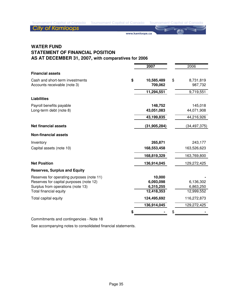**City of Kamloops** 

www.kamloops.ca

# **WATER FUND STATEMENT OF FINANCIAL POSITION AS AT DECEMBER 31, 2007, with comparatives for 2006**

|                                                                 | 2007                        | 2006                       |
|-----------------------------------------------------------------|-----------------------------|----------------------------|
| <b>Financial assets</b>                                         |                             |                            |
| Cash and short-term investments<br>Accounts receivable (note 3) | \$<br>10,585,489<br>709,062 | \$<br>8,731,819<br>987,732 |
|                                                                 |                             |                            |
|                                                                 | 11,294,551                  | 9,719,551                  |
| <b>Liabilities</b>                                              |                             |                            |
| Payroll benefits payable                                        | 148,752                     | 145,018                    |
| Long-term debt (note 8)                                         | 43,051,083                  | 44,071,908                 |
|                                                                 | 43,199,835                  | 44,216,926                 |
| <b>Net financial assets</b>                                     | (31, 905, 284)              | (34, 497, 375)             |
| <b>Non-financial assets</b>                                     |                             |                            |
| Inventory                                                       | 265,871                     | 243,177                    |
| Capital assets (note 10)                                        | 168,553,458                 | 163,526,623                |
|                                                                 | 168,819,329                 | 163,769,800                |
| <b>Net Position</b>                                             | 136,914,045                 | 129,272,425                |
| <b>Reserves, Surplus and Equity</b>                             |                             |                            |
| Reserves for operating purposes (note 11)                       | 10,000                      |                            |
| Reserves for capital purposes (note 12)                         | 6,093,098                   | 6,136,302                  |
| Surplus from operations (note 13)                               | 6,315,255                   | 6,863,250                  |
| Total financial equity                                          | 12,418,353                  | 12,999,552                 |
| Total capital equity                                            | 124,495,692                 | 116,272,873                |
|                                                                 | 136,914,045                 | 129,272,425                |
|                                                                 |                             | \$                         |

Commitments and contingencies - Note 18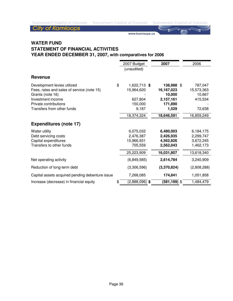**City of Kamloops** 

www.kamloops.ca

# **WATER FUND STATEMENT OF FINANCIAL ACTIVITIES YEAR ENDED DECEMBER 31, 2007, with comparatives for 2006**

|                                                                                                                                                                           | 2007 Budget<br>(unaudited)                                                    | 2007                                                                              | 2006                                                               |
|---------------------------------------------------------------------------------------------------------------------------------------------------------------------------|-------------------------------------------------------------------------------|-----------------------------------------------------------------------------------|--------------------------------------------------------------------|
| <b>Revenue</b>                                                                                                                                                            |                                                                               |                                                                                   |                                                                    |
| Development levies utilized<br>Fees, rates and sales of service (note 15)<br>Grants (note 16)<br>Investment income<br>Private contributions<br>Transfers from other funds | \$<br>1,622,713 \$<br>15,964,620<br>627,804<br>150,000<br>9,187<br>18,374,324 | 138,988 \$<br>16,167,023<br>10,000<br>2,157,161<br>171,890<br>1,529<br>18,646,591 | 787,047<br>15,573,363<br>10,667<br>415,534<br>72,638<br>16,859,249 |
| <b>Expenditures (note 17)</b>                                                                                                                                             |                                                                               |                                                                                   |                                                                    |
| Water utility<br>Debt servicing costs<br>Capital expenditures<br>Transfers to other funds                                                                                 | 6,075,032<br>2,476,387<br>15,966,931<br>705,559                               | 6,480,003<br>2,426,935<br>4,562,826<br>2,562,043                                  | 6,184,175<br>2,299,747<br>3,672,245<br>1,462,173                   |
|                                                                                                                                                                           | 25,223,909                                                                    | 16,031,807                                                                        | 13,618,340                                                         |
| Net operating activity<br>Reduction of long-term debt                                                                                                                     | (6,849,585)<br>(3,306,596)                                                    | 2,614,784<br>(3,370,824)                                                          | 3,240,909<br>(2,808,288)                                           |
| Capital assets acquired pending debenture issue                                                                                                                           | 7,268,085                                                                     | 174,841                                                                           | 1,051,858                                                          |
| Increase (decrease) in financial equity                                                                                                                                   | \$<br>$(2,888,096)$ \$                                                        | $(581, 199)$ \$                                                                   | 1,484,479                                                          |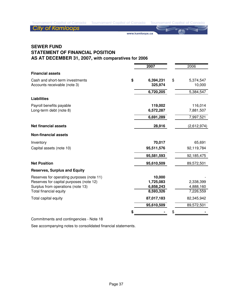**City of Kamloops** 

www.kamloops.ca

# **SEWER FUND STATEMENT OF FINANCIAL POSITION AS AT DECEMBER 31, 2007, with comparatives for 2006**

|                                           | 2007            | 2006            |
|-------------------------------------------|-----------------|-----------------|
| <b>Financial assets</b>                   |                 |                 |
| Cash and short-term investments           | \$<br>6,394,231 | \$<br>5,374,547 |
| Accounts receivable (note 3)              | 325,974         | 10,000          |
|                                           | 6,720,205       | 5,384,547       |
| <b>Liabilities</b>                        |                 |                 |
| Payroll benefits payable                  | 119,002         | 116,014         |
| Long-term debt (note 8)                   | 6,572,287       | 7,881,507       |
|                                           | 6,691,289       | 7,997,521       |
| <b>Net financial assets</b>               | 28,916          | (2,612,974)     |
| <b>Non-financial assets</b>               |                 |                 |
| Inventory                                 | 70,017          | 65,691          |
| Capital assets (note 10)                  | 95,511,576      | 92,119,784      |
|                                           | 95,581,593      | 92,185,475      |
| <b>Net Position</b>                       | 95,610,509      | 89,572,501      |
| <b>Reserves, Surplus and Equity</b>       |                 |                 |
| Reserves for operating purposes (note 11) | 10,000          |                 |
| Reserves for capital purposes (note 12)   | 1,725,083       | 2,338,399       |
| Surplus from operations (note 13)         | 6,858,243       | 4,888,160       |
| Total financial equity                    | 8,593,326       | 7,226,559       |
| Total capital equity                      | 87,017,183      | 82,345,942      |
|                                           | 95,610,509      | 89,572,501      |
|                                           |                 | \$              |

Commitments and contingencies - Note 18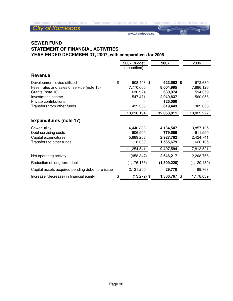**City of Kamloops** 

www.kamloops.ca

# **SEWER FUND STATEMENT OF FINANCIAL ACTIVITIES YEAR ENDED DECEMBER 31, 2007, with comparatives for 2006**

|                                                                                                                                                                           | 2007 Budget<br>(unaudited)                                     | 2007                                                                  | 2006                                                  |
|---------------------------------------------------------------------------------------------------------------------------------------------------------------------------|----------------------------------------------------------------|-----------------------------------------------------------------------|-------------------------------------------------------|
| <b>Revenue</b>                                                                                                                                                            |                                                                |                                                                       |                                                       |
| Development levies utilized<br>Fees, rates and sales of service (note 15)<br>Grants (note 16)<br>Investment income<br>Private contributions<br>Transfers from other funds | \$<br>908,443 \$<br>7,770,000<br>630,974<br>547,471<br>439,306 | 623,562 \$<br>8,004,995<br>630,974<br>2,049,837<br>125,000<br>619,443 | 672,680<br>7,886,126<br>594,359<br>560,056<br>309,056 |
|                                                                                                                                                                           | 10,296,194                                                     | 12,053,811                                                            | 10,022,277                                            |
| <b>Expenditures (note 17)</b>                                                                                                                                             |                                                                |                                                                       |                                                       |
| Sewer utility<br>Debt servicing costs<br>Capital expenditures<br>Transfers to other funds                                                                                 | 4,440,833<br>906,500<br>5,889,208<br>18,000                    | 4,134,547<br>779,586<br>2,927,782<br>1,565,679                        | 3,857,125<br>911,550<br>2,424,741<br>620,105          |
|                                                                                                                                                                           | 11,254,541                                                     | 9,407,594                                                             | 7,813,521                                             |
| Net operating activity                                                                                                                                                    | (958, 347)                                                     | 2,646,217                                                             | 2,208,756                                             |
| Reduction of long-term debt                                                                                                                                               | (1, 176, 175)                                                  | (1,309,220)                                                           | (1, 120, 480)                                         |
| Capital assets acquired pending debenture issue                                                                                                                           | 2,121,250                                                      | 29,770                                                                | 89,763                                                |
| Increase (decrease) in financial equity                                                                                                                                   | \$<br>$(13, 272)$ \$                                           | $1,366,767$ \$                                                        | 1,178,039                                             |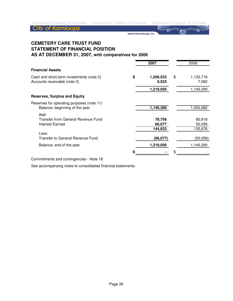www.kamloops.ca

# **CEMETERY CARE TRUST FUND STATEMENT OF FINANCIAL POSITION AS AT DECEMBER 31, 2007, with comparatives for 2006**

|                                                                             | 2007                        | 2006                        |
|-----------------------------------------------------------------------------|-----------------------------|-----------------------------|
| <b>Financial Assets</b>                                                     |                             |                             |
| Cash and short-term investments (note 2)<br>Accounts receivable (note 3)    | \$<br>1,209,533<br>9,523    | \$<br>1,132,718<br>7,582    |
|                                                                             | 1,219,056                   | 1,140,300                   |
| <b>Reserves, Surplus and Equity</b>                                         |                             |                             |
| Reserves for operating purposes (note 11)<br>Balance, beginning of the year | 1,140,300                   | 1,054,682                   |
| Add:<br>Transfer from General Revenue Fund<br>Interest Earned               | 78,756<br>66,077<br>144,833 | 85,618<br>50,058<br>135,676 |
| Less:<br>Transfer to General Revenue Fund                                   | (66,077)                    | (50,058)                    |
| Balance, end of the year                                                    | 1,219,056                   | 1,140,300                   |
|                                                                             |                             |                             |

Commitments and contingencies - Note 18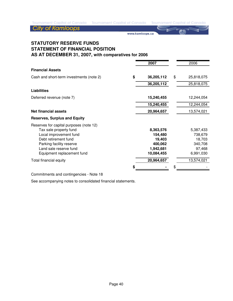www.kamloops.ca

# **STATUTORY RESERVE FUNDS STATEMENT OF FINANCIAL POSITION AS AT DECEMBER 31, 2007, with comparatives for 2006**

|                                          | 2007             | 2006             |
|------------------------------------------|------------------|------------------|
| <b>Financial Assets</b>                  |                  |                  |
| Cash and short-term investments (note 2) | \$<br>36,205,112 | \$<br>25,818,075 |
|                                          | 36,205,112       | 25,818,075       |
| <b>Liabilities</b>                       |                  |                  |
| Deferred revenue (note 7)                | 15,240,455       | 12,244,054       |
|                                          | 15,240,455       | 12,244,054       |
| <b>Net financial assets</b>              | 20,964,657       | 13,574,021       |
| <b>Reserves, Surplus and Equity</b>      |                  |                  |
| Reserves for capital purposes (note 12)  |                  |                  |
| Tax sale property fund                   | 8,363,576        | 5,387,433        |
| Local improvement fund                   | 154,480          | 738,679          |
| Debt retirement fund                     | 19,403           | 18,703           |
| Parking facility reserve                 | 400,062          | 340,708          |
| Land sale reserve fund                   | 1,942,681        | 97,468           |
| Equipment replacement fund               | 10,084,455       | 6,991,030        |
| Total financial equity                   | 20,964,657       | 13,574,021       |
|                                          |                  |                  |

Commitments and contingencies - Note 18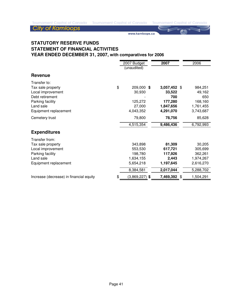# **City of Kamloops**

www.kamloops.ca

# **STATUTORY RESERVE FUNDS STATEMENT OF FINANCIAL ACTIVITIES YEAR ENDED DECEMBER 31, 2007, with comparatives for 2006**

|                                                                                                                                     | 2007 Budget<br>(unaudited)                                           | 2007                                                               | 2006                                                                |
|-------------------------------------------------------------------------------------------------------------------------------------|----------------------------------------------------------------------|--------------------------------------------------------------------|---------------------------------------------------------------------|
| <b>Revenue</b>                                                                                                                      |                                                                      |                                                                    |                                                                     |
| Transfer to:<br>Tax sale property<br>Local improvement<br>Debt retirement<br>Parking facility<br>Land sale<br>Equipment replacement | \$<br>209,000 \$<br>30,930<br>125,272<br>27,000<br>4,043,352         | 3,057,452 \$<br>33,522<br>700<br>177,280<br>1,847,656<br>4,291,070 | 984,251<br>49,162<br>650<br>168,160<br>1,761,455<br>3,743,687       |
| Cemetery trust                                                                                                                      | 79,800                                                               | 78,756                                                             | 85,628                                                              |
|                                                                                                                                     | 4,515,354                                                            | 9,486,436                                                          | 6,792,993                                                           |
| <b>Expenditures</b>                                                                                                                 |                                                                      |                                                                    |                                                                     |
| Transfer from:<br>Tax sale property<br>Local improvement<br>Parking facility<br>Land sale<br>Equipment replacement                  | 343,898<br>553,530<br>198,780<br>1,634,155<br>5,654,218<br>8,384,581 | 81,309<br>617,721<br>117,926<br>2,443<br>1,197,645<br>2,017,044    | 30,205<br>305,699<br>362,261<br>1,974,267<br>2,616,270<br>5,288,702 |
| Increase (decrease) in financial equity                                                                                             | \$<br>$(3,869,227)$ \$                                               | 7,469,392                                                          | \$<br>1,504,291                                                     |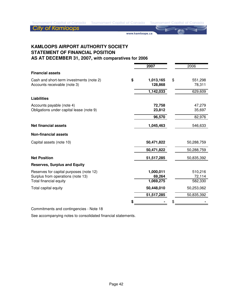**City of Kamloops** 

www.kamloops.ca

**KAMLOOPS AIRPORT AUTHORITY SOCIETY STATEMENT OF FINANCIAL POSITION AS AT DECEMBER 31, 2007, with comparatives for 2006**

**2007** 2006 **Financial assets** Cash and short-term investments (note 2) **\$ 1,013,165** \$ 551,298 Accounts receivable (note 3) **128,868** 78,311  **1,142,033** 629,609 **Liabilities** Accounts payable (note 4) **72,758** 47,279 Obligations under capital lease (note 9) **23,812** 23,812 **96,570** 82,976 **Net financial assets** 546,633 **Non-financial assets** Capital assets (note 10) **50,471,822** 50,288,759  **50,471,822** 50,288,759 **Net Position 51,517,285** 50,835,392 **Reserves, Surplus and Equity** Reserves for capital purposes (note 12) **1,000,011** 510,216 Surplus from operations (note 13) 69,264 69,264 Total financial equity **1,069,275** 582,330 Total capital equity **50,448,010** 50,253,062  **51,517,285** 50,835,392 **\$ -** \$ **-**

Commitments and contingencies - Note 18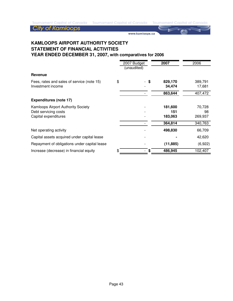www.kamloops.ca

# **KAMLOOPS AIRPORT AUTHORITY SOCIETY STATEMENT OF FINANCIAL ACTIVITIES YEAR ENDED DECEMBER 31, 2007, with comparatives for 2006**

|                                                                                           | 2007 Budget<br>(unaudited) |      | 2007                      | 2006                    |
|-------------------------------------------------------------------------------------------|----------------------------|------|---------------------------|-------------------------|
| Revenue                                                                                   |                            |      |                           |                         |
| Fees, rates and sales of service (note 15)<br>Investment income                           | \$                         | - \$ | 829,170<br>34,474         | 389,791<br>17,681       |
|                                                                                           |                            |      | 863,644                   | 407,472                 |
| <b>Expenditures (note 17)</b>                                                             |                            |      |                           |                         |
| <b>Kamloops Airport Authority Society</b><br>Debt servicing costs<br>Capital expenditures |                            |      | 181,600<br>151<br>183,063 | 70,728<br>98<br>269,937 |
|                                                                                           |                            |      | 364,814                   | 340,763                 |
| Net operating activity                                                                    |                            |      | 498,830                   | 66,709                  |
| Capital assets acquired under capital lease                                               |                            |      |                           | 42,620                  |
| Repayment of obligations under capital lease                                              |                            |      | (11, 885)                 | (6,922)                 |
| Increase (decrease) in financial equity                                                   | \$                         | S    | 486,945                   | 102,407                 |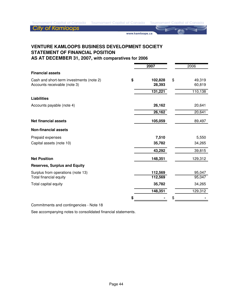**City of Kamloops** 

www.kamloops.ca

# **VENTURE KAMLOOPS BUSINESS DEVELOPMENT SOCIETY STATEMENT OF FINANCIAL POSITION**

**AS AT DECEMBER 31, 2007, with comparatives for 2006**

|                                          | 2007          | 2006         |
|------------------------------------------|---------------|--------------|
| <b>Financial assets</b>                  |               |              |
| Cash and short-term investments (note 2) | \$<br>102,828 | \$<br>49,319 |
| Accounts receivable (note 3)             | 28,393        | 60,819       |
|                                          | 131,221       | 110,138      |
| <b>Liabilities</b>                       |               |              |
| Accounts payable (note 4)                | 26,162        | 20,641       |
|                                          | 26,162        | 20,641       |
| <b>Net financial assets</b>              | 105,059       | 89,497       |
| <b>Non-financial assets</b>              |               |              |
| Prepaid expenses                         | 7,510         | 5,550        |
| Capital assets (note 10)                 | 35,782        | 34,265       |
|                                          | 43,292        | 39,815       |
| <b>Net Position</b>                      | 148,351       | 129,312      |
| <b>Reserves, Surplus and Equity</b>      |               |              |
| Surplus from operations (note 13)        | 112,569       | 95,047       |
| Total financial equity                   | 112,569       | 95,047       |
| Total capital equity                     | 35,782        | 34,265       |
|                                          | 148,351       | 129,312      |
|                                          |               | \$           |

Commitments and contingencies - Note 18